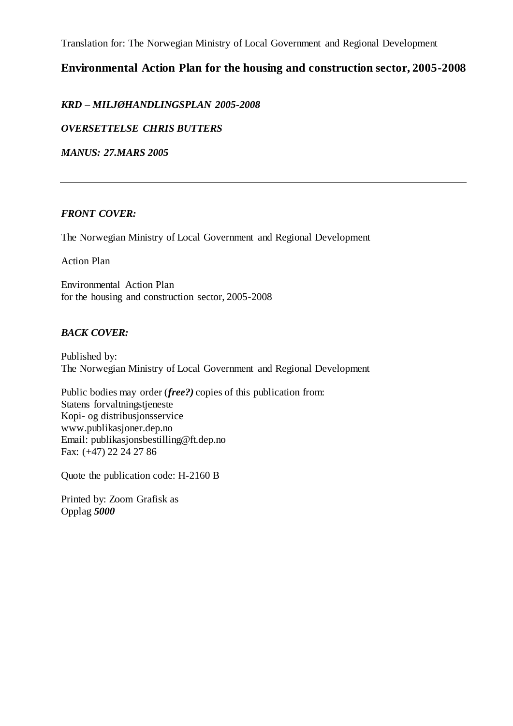Translation for: The Norwegian Ministry of Local Government and Regional Development

## **Environmental Action Plan for the housing and construction sector, 2005-2008**

*KRD – MILJØHANDLINGSPLAN 2005-2008* 

*OVERSETTELSE CHRIS BUTTERS*

*MANUS: 27.MARS 2005*

### *FRONT COVER:*

The Norwegian Ministry of Local Government and Regional Development

Action Plan

Environmental Action Plan for the housing and construction sector, 2005-2008

### *BACK COVER:*

Published by: The Norwegian Ministry of Local Government and Regional Development

Public bodies may order (*free?)* copies of this publication from: Statens forvaltningstjeneste Kopi- og distribusjonsservice www.publikasjoner.dep.no Email: publikasjonsbestilling@ft.dep.no Fax: (+47) 22 24 27 86

Quote the publication code: H-2160 B

Printed by: Zoom Grafisk as Opplag *5000*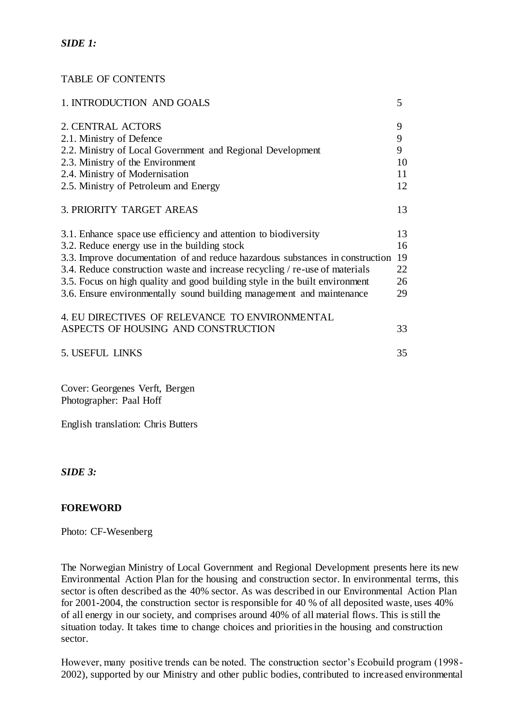## *SIDE 1:*

## TABLE OF CONTENTS

| 1. INTRODUCTION AND GOALS                                                     | 5  |
|-------------------------------------------------------------------------------|----|
| 2. CENTRAL ACTORS                                                             | 9  |
| 2.1. Ministry of Defence                                                      | 9  |
| 2.2. Ministry of Local Government and Regional Development                    | 9  |
| 2.3. Ministry of the Environment                                              | 10 |
| 2.4. Ministry of Modernisation                                                | 11 |
| 2.5. Ministry of Petroleum and Energy                                         | 12 |
| 3. PRIORITY TARGET AREAS                                                      | 13 |
| 3.1. Enhance space use efficiency and attention to biodiversity               | 13 |
| 3.2. Reduce energy use in the building stock                                  | 16 |
| 3.3. Improve documentation of and reduce hazardous substances in construction | 19 |
| 3.4. Reduce construction waste and increase recycling / re-use of materials   | 22 |
| 3.5. Focus on high quality and good building style in the built environment   | 26 |
| 3.6. Ensure environmentally sound building management and maintenance         | 29 |
| 4. EU DIRECTIVES OF RELEVANCE TO ENVIRONMENTAL                                |    |
| ASPECTS OF HOUSING AND CONSTRUCTION                                           | 33 |
| 5. USEFUL LINKS                                                               | 35 |
| Cover: Georgenes Verft, Bergen                                                |    |

Photographer: Paal Hoff

English translation: Chris Butters

### *SIDE 3:*

## **FOREWORD**

Photo: CF-Wesenberg

The Norwegian Ministry of Local Government and Regional Development presents here its new Environmental Action Plan for the housing and construction sector. In environmental terms, this sector is often described as the 40% sector. As was described in our Environmental Action Plan for 2001-2004, the construction sector is responsible for 40 % of all deposited waste, uses 40% of all energy in our society, and comprises around 40% of all material flows. This is still the situation today. It takes time to change choices and priorities in the housing and construction sector.

However, many positive trends can be noted. The construction sector's Ecobuild program (1998- 2002), supported by our Ministry and other public bodies, contributed to increased environmental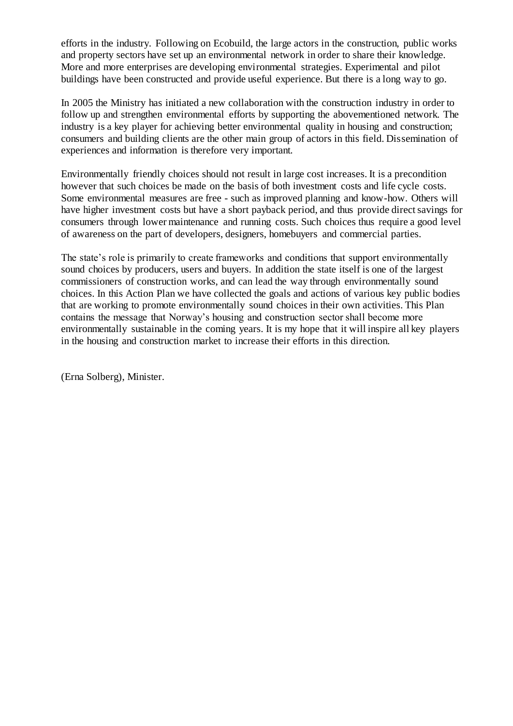efforts in the industry. Following on Ecobuild, the large actors in the construction, public works and property sectors have set up an environmental network in order to share their knowledge. More and more enterprises are developing environmental strategies. Experimental and pilot buildings have been constructed and provide useful experience. But there is a long way to go.

In 2005 the Ministry has initiated a new collaboration with the construction industry in order to follow up and strengthen environmental efforts by supporting the abovementioned network. The industry is a key player for achieving better environmental quality in housing and construction; consumers and building clients are the other main group of actors in this field. Dissemination of experiences and information is therefore very important.

Environmentally friendly choices should not result in large cost increases. It is a precondition however that such choices be made on the basis of both investment costs and life cycle costs. Some environmental measures are free - such as improved planning and know-how. Others will have higher investment costs but have a short payback period, and thus provide direct savings for consumers through lower maintenance and running costs. Such choices thus require a good level of awareness on the part of developers, designers, homebuyers and commercial parties.

The state's role is primarily to create frameworks and conditions that support environmentally sound choices by producers, users and buyers. In addition the state itself is one of the largest commissioners of construction works, and can lead the way through environmentally sound choices. In this Action Plan we have collected the goals and actions of various key public bodies that are working to promote environmentally sound choices in their own activities. This Plan contains the message that Norway's housing and construction sector shall become more environmentally sustainable in the coming years. It is my hope that it will inspire all key players in the housing and construction market to increase their efforts in this direction.

(Erna Solberg), Minister.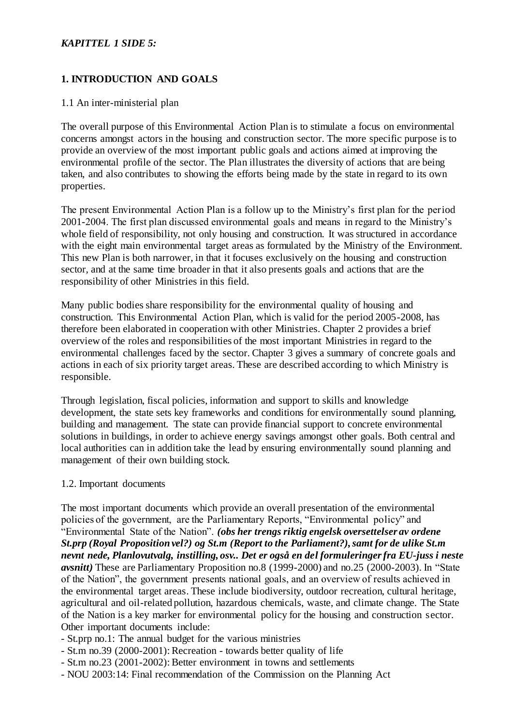### *KAPITTEL 1 SIDE 5:*

## **1. INTRODUCTION AND GOALS**

### 1.1 An inter-ministerial plan

The overall purpose of this Environmental Action Plan is to stimulate a focus on environmental concerns amongst actors in the housing and construction sector. The more specific purpose is to provide an overview of the most important public goals and actions aimed at improving the environmental profile of the sector. The Plan illustrates the diversity of actions that are being taken, and also contributes to showing the efforts being made by the state in regard to its own properties.

The present Environmental Action Plan is a follow up to the Ministry's first plan for the period 2001-2004. The first plan discussed environmental goals and means in regard to the Ministry's whole field of responsibility, not only housing and construction. It was structured in accordance with the eight main environmental target areas as formulated by the Ministry of the Environment. This new Plan is both narrower, in that it focuses exclusively on the housing and construction sector, and at the same time broader in that it also presents goals and actions that are the responsibility of other Ministries in this field.

Many public bodies share responsibility for the environmental quality of housing and construction. This Environmental Action Plan, which is valid for the period 2005-2008, has therefore been elaborated in cooperation with other Ministries. Chapter 2 provides a brief overview of the roles and responsibilities of the most important Ministries in regard to the environmental challenges faced by the sector. Chapter 3 gives a summary of concrete goals and actions in each of six priority target areas. These are described according to which Ministry is responsible.

Through legislation, fiscal policies, information and support to skills and knowledge development, the state sets key frameworks and conditions for environmentally sound planning, building and management. The state can provide financial support to concrete environmental solutions in buildings, in order to achieve energy savings amongst other goals. Both central and local authorities can in addition take the lead by ensuring environmentally sound planning and management of their own building stock.

### 1.2. Important documents

The most important documents which provide an overall presentation of the environmental policies of the government, are the Parliamentary Reports, "Environmental policy" and "Environmental State of the Nation". *(obs her trengs riktig engelsk oversettelser av ordene St.prp (Royal Proposition vel?) og St.m (Report to the Parliament?), samt for de ulike St.m nevnt nede, Planlovutvalg, instilling, osv.. Det er også en del formuleringer fra EU-juss i neste avsnitt)* These are Parliamentary Proposition no.8 (1999-2000) and no.25 (2000-2003). In "State of the Nation", the government presents national goals, and an overview of results achieved in the environmental target areas. These include biodiversity, outdoor recreation, cultural heritage, agricultural and oil-related pollution, hazardous chemicals, waste, and climate change. The State of the Nation is a key marker for environmental policy for the housing and construction sector. Other important documents include:

- St.prp no.1: The annual budget for the various ministries
- St.m no.39 (2000-2001): Recreation towards better quality of life
- St.m no.23 (2001-2002): Better environment in towns and settlements
- NOU 2003:14: Final recommendation of the Commission on the Planning Act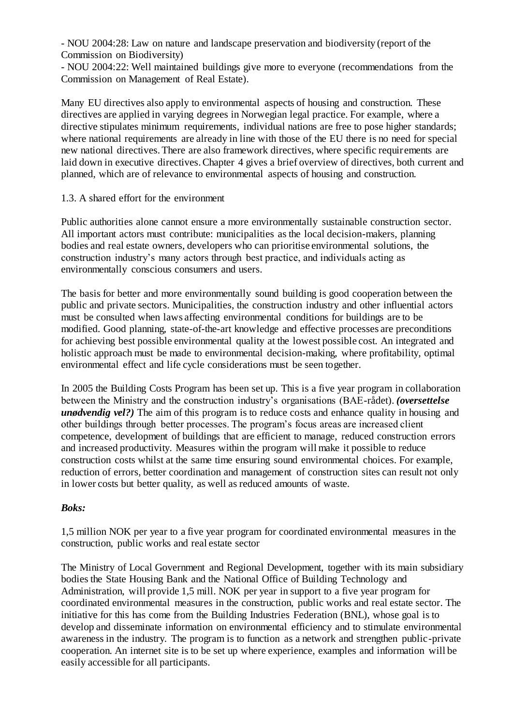- NOU 2004:28: Law on nature and landscape preservation and biodiversity (report of the Commission on Biodiversity)

- NOU 2004:22: Well maintained buildings give more to everyone (recommendations from the Commission on Management of Real Estate).

Many EU directives also apply to environmental aspects of housing and construction. These directives are applied in varying degrees in Norwegian legal practice. For example, where a directive stipulates minimum requirements, individual nations are free to pose higher standards; where national requirements are already in line with those of the EU there is no need for special new national directives. There are also framework directives, where specific requirements are laid down in executive directives. Chapter 4 gives a brief overview of directives, both current and planned, which are of relevance to environmental aspects of housing and construction.

### 1.3. A shared effort for the environment

Public authorities alone cannot ensure a more environmentally sustainable construction sector. All important actors must contribute: municipalities as the local decision-makers, planning bodies and real estate owners, developers who can prioritise environmental solutions, the construction industry's many actors through best practice, and individuals acting as environmentally conscious consumers and users.

The basis for better and more environmentally sound building is good cooperation between the public and private sectors. Municipalities, the construction industry and other influential actors must be consulted when laws affecting environmental conditions for buildings are to be modified. Good planning, state-of-the-art knowledge and effective processes are preconditions for achieving best possible environmental quality at the lowest possible cost. An integrated and holistic approach must be made to environmental decision-making, where profitability, optimal environmental effect and life cycle considerations must be seen together.

In 2005 the Building Costs Program has been set up. This is a five year program in collaboration between the Ministry and the construction industry's organisations (BAE-rådet). *(oversettelse unødvendig vel?)* The aim of this program is to reduce costs and enhance quality in housing and other buildings through better processes. The program's focus areas are increased client competence, development of buildings that are efficient to manage, reduced construction errors and increased productivity. Measures within the program will make it possible to reduce construction costs whilst at the same time ensuring sound environmental choices. For example, reduction of errors, better coordination and management of construction sites can result not only in lower costs but better quality, as well as reduced amounts of waste.

## *Boks:*

1,5 million NOK per year to a five year program for coordinated environmental measures in the construction, public works and real estate sector

The Ministry of Local Government and Regional Development, together with its main subsidiary bodies the State Housing Bank and the National Office of Building Technology and Administration, will provide 1,5 mill. NOK per year in support to a five year program for coordinated environmental measures in the construction, public works and real estate sector. The initiative for this has come from the Building Industries Federation (BNL), whose goal is to develop and disseminate information on environmental efficiency and to stimulate environmental awareness in the industry. The program is to function as a network and strengthen public-private cooperation. An internet site is to be set up where experience, examples and information will be easily accessible for all participants.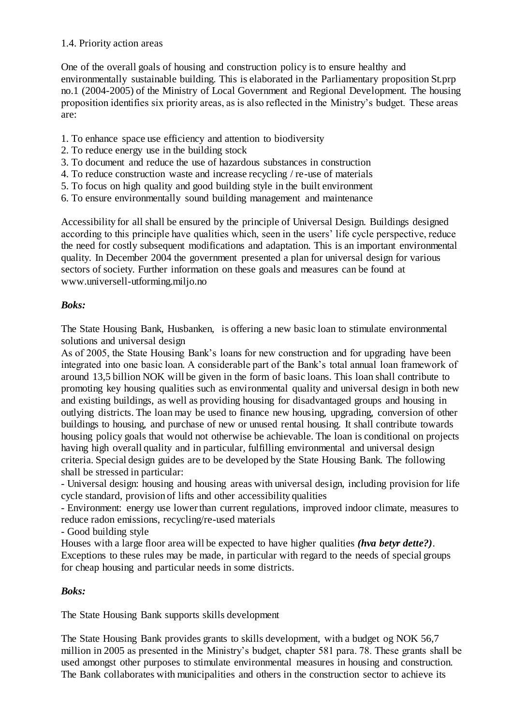### 1.4. Priority action areas

One of the overall goals of housing and construction policy is to ensure healthy and environmentally sustainable building. This is elaborated in the Parliamentary proposition St.prp no.1 (2004-2005) of the Ministry of Local Government and Regional Development. The housing proposition identifies six priority areas, as is also reflected in the Ministry's budget. These areas are:

- 1. To enhance space use efficiency and attention to biodiversity
- 2. To reduce energy use in the building stock
- 3. To document and reduce the use of hazardous substances in construction
- 4. To reduce construction waste and increase recycling / re-use of materials
- 5. To focus on high quality and good building style in the built environment
- 6. To ensure environmentally sound building management and maintenance

Accessibility for all shall be ensured by the principle of Universal Design. Buildings designed according to this principle have qualities which, seen in the users' life cycle perspective, reduce the need for costly subsequent modifications and adaptation. This is an important environmental quality. In December 2004 the government presented a plan for universal design for various sectors of society. Further information on these goals and measures can be found at www.universell-utforming.miljo.no

## *Boks:*

The State Housing Bank, Husbanken, is offering a new basic loan to stimulate environmental solutions and universal design

As of 2005, the State Housing Bank's loans for new construction and for upgrading have been integrated into one basic loan. A considerable part of the Bank's total annual loan framework of around 13,5 billion NOK will be given in the form of basic loans. This loan shall contribute to promoting key housing qualities such as environmental quality and universal design in both new and existing buildings, as well as providing housing for disadvantaged groups and housing in outlying districts. The loan may be used to finance new housing, upgrading, conversion of other buildings to housing, and purchase of new or unused rental housing. It shall contribute towards housing policy goals that would not otherwise be achievable. The loan is conditional on projects having high overall quality and in particular, fulfilling environmental and universal design criteria. Special design guides are to be developed by the State Housing Bank. The following shall be stressed in particular:

- Universal design: housing and housing areas with universal design, including provision for life cycle standard, provision of lifts and other accessibility qualities

- Environment: energy use lower than current regulations, improved indoor climate, measures to reduce radon emissions, recycling/re-used materials

- Good building style

Houses with a large floor area will be expected to have higher qualities *(hva betyr dette?)*. Exceptions to these rules may be made, in particular with regard to the needs of special groups for cheap housing and particular needs in some districts.

## *Boks:*

The State Housing Bank supports skills development

The State Housing Bank provides grants to skills development, with a budget og NOK 56,7 million in 2005 as presented in the Ministry's budget, chapter 581 para. 78. These grants shall be used amongst other purposes to stimulate environmental measures in housing and construction. The Bank collaborates with municipalities and others in the construction sector to achieve its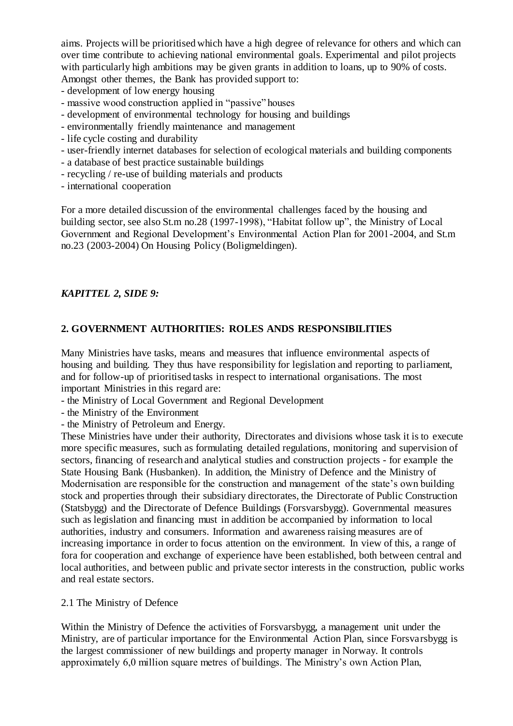aims. Projects will be prioritised which have a high degree of relevance for others and which can over time contribute to achieving national environmental goals. Experimental and pilot projects with particularly high ambitions may be given grants in addition to loans, up to 90% of costs. Amongst other themes, the Bank has provided support to:

- development of low energy housing
- massive wood construction applied in "passive" houses
- development of environmental technology for housing and buildings
- environmentally friendly maintenance and management
- life cycle costing and durability
- user-friendly internet databases for selection of ecological materials and building components
- a database of best practice sustainable buildings
- recycling / re-use of building materials and products
- international cooperation

For a more detailed discussion of the environmental challenges faced by the housing and building sector, see also St.m no.28 (1997-1998), "Habitat follow up", the Ministry of Local Government and Regional Development's Environmental Action Plan for 2001-2004, and St.m no.23 (2003-2004) On Housing Policy (Boligmeldingen).

## *KAPITTEL 2, SIDE 9:*

## **2. GOVERNMENT AUTHORITIES: ROLES ANDS RESPONSIBILITIES**

Many Ministries have tasks, means and measures that influence environmental aspects of housing and building. They thus have responsibility for legislation and reporting to parliament, and for follow-up of prioritised tasks in respect to international organisations. The most important Ministries in this regard are:

- the Ministry of Local Government and Regional Development
- the Ministry of the Environment
- the Ministry of Petroleum and Energy.

These Ministries have under their authority, Directorates and divisions whose task it is to execute more specific measures, such as formulating detailed regulations, monitoring and supervision of sectors, financing of research and analytical studies and construction projects - for example the State Housing Bank (Husbanken). In addition, the Ministry of Defence and the Ministry of Modernisation are responsible for the construction and management of the state's own building stock and properties through their subsidiary directorates, the Directorate of Public Construction (Statsbygg) and the Directorate of Defence Buildings (Forsvarsbygg). Governmental measures such as legislation and financing must in addition be accompanied by information to local authorities, industry and consumers. Information and awareness raising measures are of increasing importance in order to focus attention on the environment. In view of this, a range of fora for cooperation and exchange of experience have been established, both between central and local authorities, and between public and private sector interests in the construction, public works and real estate sectors.

### 2.1 The Ministry of Defence

Within the Ministry of Defence the activities of Forsvarsbygg, a management unit under the Ministry, are of particular importance for the Environmental Action Plan, since Forsvarsbygg is the largest commissioner of new buildings and property manager in Norway. It controls approximately 6,0 million square metres of buildings. The Ministry's own Action Plan,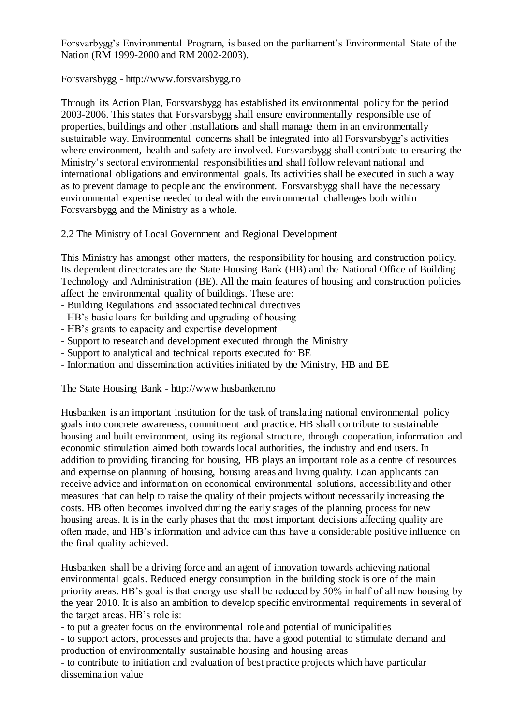Forsvarbygg's Environmental Program, is based on the parliament's Environmental State of the Nation (RM 1999-2000 and RM 2002-2003).

Forsvarsbygg - http://www.forsvarsbygg.no

Through its Action Plan, Forsvarsbygg has established its environmental policy for the period 2003-2006. This states that Forsvarsbygg shall ensure environmentally responsible use of properties, buildings and other installations and shall manage them in an environmentally sustainable way. Environmental concerns shall be integrated into all Forsvarsbygg's activities where environment, health and safety are involved. Forsvarsbygg shall contribute to ensuring the Ministry's sectoral environmental responsibilities and shall follow relevant national and international obligations and environmental goals. Its activities shall be executed in such a way as to prevent damage to people and the environment. Forsvarsbygg shall have the necessary environmental expertise needed to deal with the environmental challenges both within Forsvarsbygg and the Ministry as a whole.

2.2 The Ministry of Local Government and Regional Development

This Ministry has amongst other matters, the responsibility for housing and construction policy. Its dependent directorates are the State Housing Bank (HB) and the National Office of Building Technology and Administration (BE). All the main features of housing and construction policies affect the environmental quality of buildings. These are:

- Building Regulations and associated technical directives
- HB's basic loans for building and upgrading of housing
- HB's grants to capacity and expertise development
- Support to research and development executed through the Ministry
- Support to analytical and technical reports executed for BE
- Information and dissemination activities initiated by the Ministry, HB and BE

The State Housing Bank - http://www.husbanken.no

Husbanken is an important institution for the task of translating national environmental policy goals into concrete awareness, commitment and practice. HB shall contribute to sustainable housing and built environment, using its regional structure, through cooperation, information and economic stimulation aimed both towards local authorities, the industry and end users. In addition to providing financing for housing, HB plays an important role as a centre of resources and expertise on planning of housing, housing areas and living quality. Loan applicants can receive advice and information on economical environmental solutions, accessibility and other measures that can help to raise the quality of their projects without necessarily increasing the costs. HB often becomes involved during the early stages of the planning process for new housing areas. It is in the early phases that the most important decisions affecting quality are often made, and HB's information and advice can thus have a considerable positive influence on the final quality achieved.

Husbanken shall be a driving force and an agent of innovation towards achieving national environmental goals. Reduced energy consumption in the building stock is one of the main priority areas. HB's goal is that energy use shall be reduced by 50% in half of all new housing by the year 2010. It is also an ambition to develop specific environmental requirements in several of the target areas. HB's role is:

- to put a greater focus on the environmental role and potential of municipalities

- to support actors, processes and projects that have a good potential to stimulate demand and production of environmentally sustainable housing and housing areas

- to contribute to initiation and evaluation of best practice projects which have particular dissemination value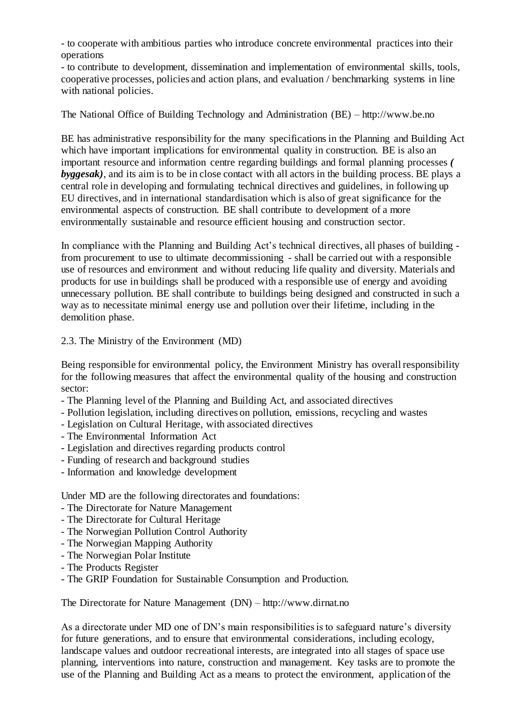- to cooperate with ambitious parties who introduce concrete environmental practices into their operations

- to contribute to development, dissemination and implementation of environmental skills, tools, cooperative processes, policies and action plans, and evaluation / benchmarking systems in line with national policies.

The National Office of Building Technology and Administration (BE) – http://www.be.no

BE has administrative responsibility for the many specifications in the Planning and Building Act which have important implications for environmental quality in construction. BE is also an important resource and information centre regarding buildings and formal planning processes *( byggesak)*, and its aim is to be in close contact with all actors in the building process. BE plays a central role in developing and formulating technical directives and guidelines, in following up EU directives, and in international standardisation which is also of great significance for the environmental aspects of construction. BE shall contribute to development of a more environmentally sustainable and resource efficient housing and construction sector.

In compliance with the Planning and Building Act's technical directives, all phases of building from procurement to use to ultimate decommissioning - shall be carried out with a responsible use of resources and environment and without reducing life quality and diversity. Materials and products for use in buildings shall be produced with a responsible use of energy and avoiding unnecessary pollution. BE shall contribute to buildings being designed and constructed in such a way as to necessitate minimal energy use and pollution over their lifetime, including in the demolition phase.

2.3. The Ministry of the Environment (MD)

Being responsible for environmental policy, the Environment Ministry has overall responsibility for the following measures that affect the environmental quality of the housing and construction sector:

- The Planning level of the Planning and Building Act, and associated directives
- Pollution legislation, including directives on pollution, emissions, recycling and wastes
- Legislation on Cultural Heritage, with associated directives
- The Environmental Information Act
- Legislation and directives regarding products control
- Funding of research and background studies
- Information and knowledge development

Under MD are the following directorates and foundations:

- The Directorate for Nature Management
- The Directorate for Cultural Heritage
- The Norwegian Pollution Control Authority
- The Norwegian Mapping Authority
- The Norwegian Polar Institute
- The Products Register
- The GRIP Foundation for Sustainable Consumption and Production.

The Directorate for Nature Management (DN) – http://www.dirnat.no

As a directorate under MD one of DN's main responsibilities is to safeguard nature's diversity for future generations, and to ensure that environmental considerations, including ecology, landscape values and outdoor recreational interests, are integrated into all stages of space use planning, interventions into nature, construction and management. Key tasks are to promote the use of the Planning and Building Act as a means to protect the environment, application of the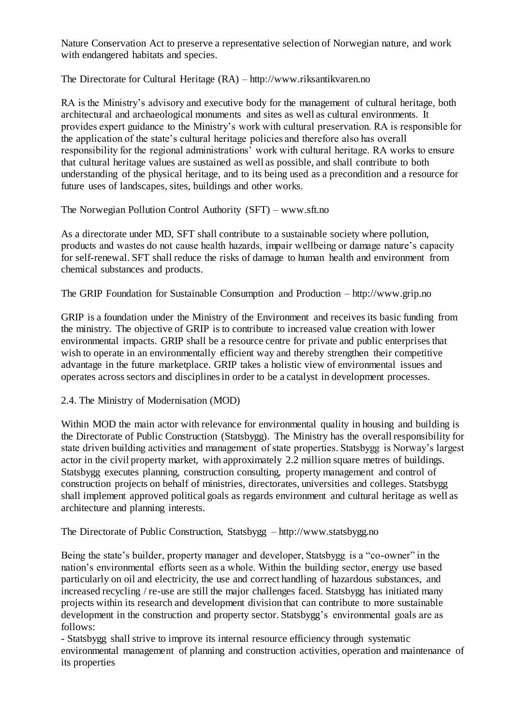Nature Conservation Act to preserve a representative selection of Norwegian nature, and work with endangered habitats and species.

The Directorate for Cultural Heritage (RA) – http://www.riksantikvaren.no

RA is the Ministry's advisory and executive body for the management of cultural heritage, both architectural and archaeological monuments and sites as well as cultural environments. It provides expert guidance to the Ministry's work with cultural preservation. RA is responsible for the application of the state's cultural heritage policies and therefore also has overall responsibility for the regional administrations' work with cultural heritage. RA works to ensure that cultural heritage values are sustained as well as possible, and shall contribute to both understanding of the physical heritage, and to its being used as a precondition and a resource for future uses of landscapes, sites, buildings and other works.

The Norwegian Pollution Control Authority (SFT) – www.sft.no

As a directorate under MD, SFT shall contribute to a sustainable society where pollution, products and wastes do not cause health hazards, impair wellbeing or damage nature's capacity for self-renewal. SFT shall reduce the risks of damage to human health and environment from chemical substances and products.

The GRIP Foundation for Sustainable Consumption and Production – http://www.grip.no

GRIP is a foundation under the Ministry of the Environment and receives its basic funding from the ministry. The objective of GRIP is to contribute to increased value creation with lower environmental impacts. GRIP shall be a resource centre for private and public enterprises that wish to operate in an environmentally efficient way and thereby strengthen their competitive advantage in the future marketplace. GRIP takes a holistic view of environmental issues and operates across sectors and disciplines in order to be a catalyst in development processes.

2.4. The Ministry of Modernisation (MOD)

Within MOD the main actor with relevance for environmental quality in housing and building is the Directorate of Public Construction (Statsbygg). The Ministry has the overall responsibility for state driven building activities and management of state properties. Statsbygg is Norway's largest actor in the civil property market, with approximately 2.2 million square metres of buildings. Statsbygg executes planning, construction consulting, property management and control of construction projects on behalf of ministries, directorates, universities and colleges. Statsbygg shall implement approved political goals as regards environment and cultural heritage as well as architecture and planning interests.

The Directorate of Public Construction, Statsbygg – http://www.statsbygg.no

Being the state's builder, property manager and developer, Statsbygg is a "co-owner" in the nation's environmental efforts seen as a whole. Within the building sector, energy use based particularly on oil and electricity, the use and correct handling of hazardous substances, and increased recycling / re-use are still the major challenges faced. Statsbygg has initiated many projects within its research and development division that can contribute to more sustainable development in the construction and property sector. Statsbygg's environmental goals are as follows:

- Statsbygg shall strive to improve its internal resource efficiency through systematic environmental management of planning and construction activities, operation and maintenance of its properties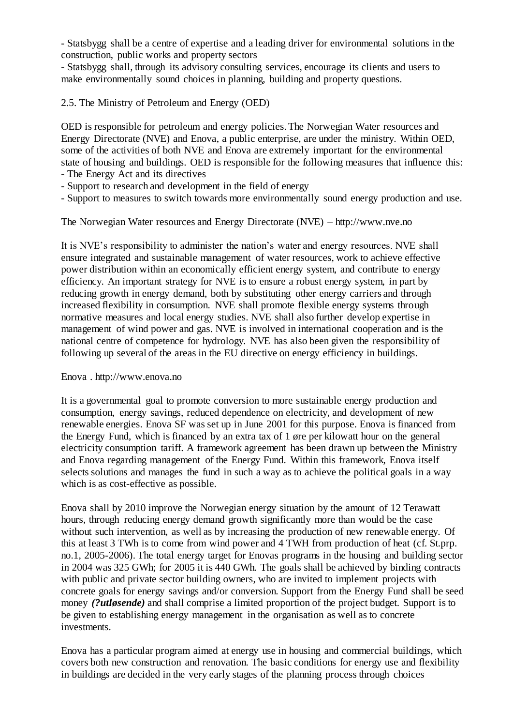- Statsbygg shall be a centre of expertise and a leading driver for environmental solutions in the construction, public works and property sectors

- Statsbygg shall, through its advisory consulting services, encourage its clients and users to make environmentally sound choices in planning, building and property questions.

2.5. The Ministry of Petroleum and Energy (OED)

OED is responsible for petroleum and energy policies. The Norwegian Water resources and Energy Directorate (NVE) and Enova, a public enterprise, are under the ministry. Within OED, some of the activities of both NVE and Enova are extremely important for the environmental state of housing and buildings. OED is responsible for the following measures that influence this:

- The Energy Act and its directives
- Support to research and development in the field of energy
- Support to measures to switch towards more environmentally sound energy production and use.

The Norwegian Water resources and Energy Directorate (NVE) – http://www.nve.no

It is NVE's responsibility to administer the nation's water and energy resources. NVE shall ensure integrated and sustainable management of water resources, work to achieve effective power distribution within an economically efficient energy system, and contribute to energy efficiency. An important strategy for NVE is to ensure a robust energy system, in part by reducing growth in energy demand, both by substituting other energy carriers and through increased flexibility in consumption. NVE shall promote flexible energy systems through normative measures and local energy studies. NVE shall also further develop expertise in management of wind power and gas. NVE is involved in international cooperation and is the national centre of competence for hydrology. NVE has also been given the responsibility of following up several of the areas in the EU directive on energy efficiency in buildings.

### Enova . http://www.enova.no

It is a governmental goal to promote conversion to more sustainable energy production and consumption, energy savings, reduced dependence on electricity, and development of new renewable energies. Enova SF was set up in June 2001 for this purpose. Enova is financed from the Energy Fund, which is financed by an extra tax of 1 øre per kilowatt hour on the general electricity consumption tariff. A framework agreement has been drawn up between the Ministry and Enova regarding management of the Energy Fund. Within this framework, Enova itself selects solutions and manages the fund in such a way as to achieve the political goals in a way which is as cost-effective as possible.

Enova shall by 2010 improve the Norwegian energy situation by the amount of 12 Terawatt hours, through reducing energy demand growth significantly more than would be the case without such intervention, as well as by increasing the production of new renewable energy. Of this at least 3 TWh is to come from wind power and 4 TWH from production of heat (cf. St.prp. no.1, 2005-2006). The total energy target for Enovas programs in the housing and building sector in 2004 was 325 GWh; for 2005 it is 440 GWh. The goals shall be achieved by binding contracts with public and private sector building owners, who are invited to implement projects with concrete goals for energy savings and/or conversion. Support from the Energy Fund shall be seed money *(?utløsende)* and shall comprise a limited proportion of the project budget. Support is to be given to establishing energy management in the organisation as well as to concrete investments.

Enova has a particular program aimed at energy use in housing and commercial buildings, which covers both new construction and renovation. The basic conditions for energy use and flexibility in buildings are decided in the very early stages of the planning process through choices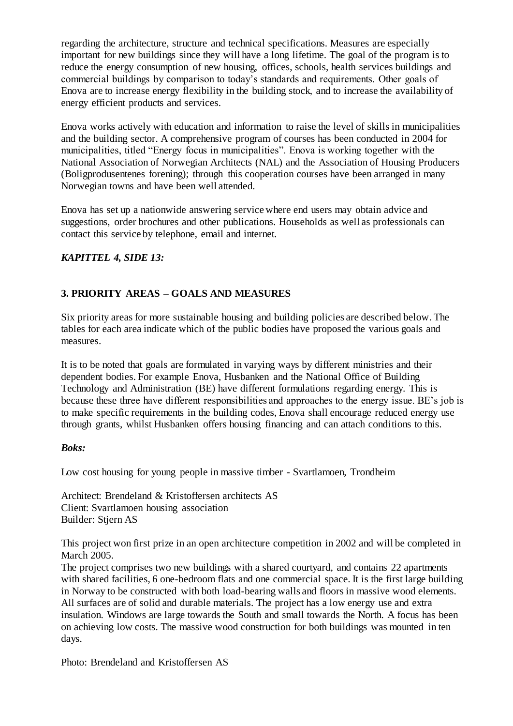regarding the architecture, structure and technical specifications. Measures are especially important for new buildings since they will have a long lifetime. The goal of the program is to reduce the energy consumption of new housing, offices, schools, health services buildings and commercial buildings by comparison to today's standards and requirements. Other goals of Enova are to increase energy flexibility in the building stock, and to increase the availability of energy efficient products and services.

Enova works actively with education and information to raise the level of skills in municipalities and the building sector. A comprehensive program of courses has been conducted in 2004 for municipalities, titled "Energy focus in municipalities". Enova is working together with the National Association of Norwegian Architects (NAL) and the Association of Housing Producers (Boligprodusentenes forening); through this cooperation courses have been arranged in many Norwegian towns and have been well attended.

Enova has set up a nationwide answering service where end users may obtain advice and suggestions, order brochures and other publications. Households as well as professionals can contact this service by telephone, email and internet.

## *KAPITTEL 4, SIDE 13:*

## **3. PRIORITY AREAS – GOALS AND MEASURES**

Six priority areas for more sustainable housing and building policies are described below. The tables for each area indicate which of the public bodies have proposed the various goals and measures.

It is to be noted that goals are formulated in varying ways by different ministries and their dependent bodies. For example Enova, Husbanken and the National Office of Building Technology and Administration (BE) have different formulations regarding energy. This is because these three have different responsibilities and approaches to the energy issue. BE's job is to make specific requirements in the building codes, Enova shall encourage reduced energy use through grants, whilst Husbanken offers housing financing and can attach conditions to this.

### *Boks:*

Low cost housing for young people in massive timber - Svartlamoen, Trondheim

Architect: Brendeland & Kristoffersen architects AS Client: Svartlamoen housing association Builder: Stjern AS

This project won first prize in an open architecture competition in 2002 and will be completed in March 2005.

The project comprises two new buildings with a shared courtyard, and contains 22 apartments with shared facilities, 6 one-bedroom flats and one commercial space. It is the first large building in Norway to be constructed with both load-bearing walls and floors in massive wood elements. All surfaces are of solid and durable materials. The project has a low energy use and extra insulation. Windows are large towards the South and small towards the North. A focus has been on achieving low costs. The massive wood construction for both buildings was mounted in ten days.

Photo: Brendeland and Kristoffersen AS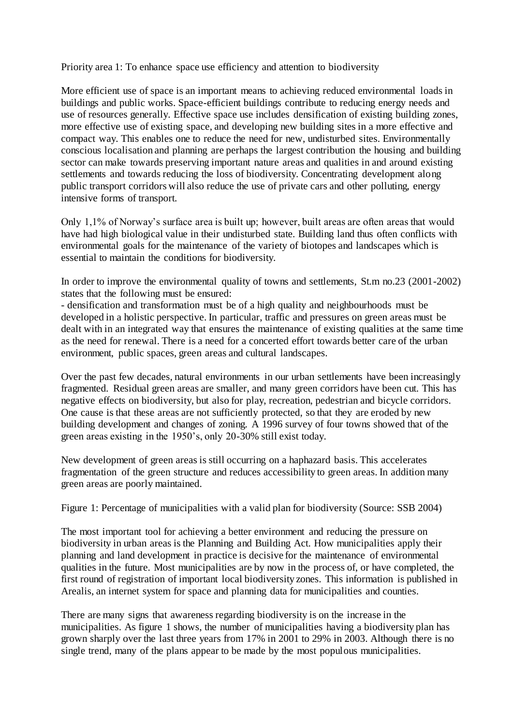Priority area 1: To enhance space use efficiency and attention to biodiversity

More efficient use of space is an important means to achieving reduced environmental loads in buildings and public works. Space-efficient buildings contribute to reducing energy needs and use of resources generally. Effective space use includes densification of existing building zones, more effective use of existing space, and developing new building sites in a more effective and compact way. This enables one to reduce the need for new, undisturbed sites. Environmentally conscious localisation and planning are perhaps the largest contribution the housing and building sector can make towards preserving important nature areas and qualities in and around existing settlements and towards reducing the loss of biodiversity. Concentrating development along public transport corridors will also reduce the use of private cars and other polluting, energy intensive forms of transport.

Only 1,1% of Norway's surface area is built up; however, built areas are often areas that would have had high biological value in their undisturbed state. Building land thus often conflicts with environmental goals for the maintenance of the variety of biotopes and landscapes which is essential to maintain the conditions for biodiversity.

In order to improve the environmental quality of towns and settlements, St.m no.23 (2001-2002) states that the following must be ensured:

- densification and transformation must be of a high quality and neighbourhoods must be developed in a holistic perspective. In particular, traffic and pressures on green areas must be dealt with in an integrated way that ensures the maintenance of existing qualities at the same time as the need for renewal. There is a need for a concerted effort towards better care of the urban environment, public spaces, green areas and cultural landscapes.

Over the past few decades, natural environments in our urban settlements have been increasingly fragmented. Residual green areas are smaller, and many green corridors have been cut. This has negative effects on biodiversity, but also for play, recreation, pedestrian and bicycle corridors. One cause is that these areas are not sufficiently protected, so that they are eroded by new building development and changes of zoning. A 1996 survey of four towns showed that of the green areas existing in the 1950's, only 20-30% still exist today.

New development of green areas is still occurring on a haphazard basis. This accelerates fragmentation of the green structure and reduces accessibility to green areas. In addition many green areas are poorly maintained.

Figure 1: Percentage of municipalities with a valid plan for biodiversity (Source: SSB 2004)

The most important tool for achieving a better environment and reducing the pressure on biodiversity in urban areas is the Planning and Building Act. How municipalities apply their planning and land development in practice is decisive for the maintenance of environmental qualities in the future. Most municipalities are by now in the process of, or have completed, the first round of registration of important local biodiversity zones. This information is published in Arealis, an internet system for space and planning data for municipalities and counties.

There are many signs that awareness regarding biodiversity is on the increase in the municipalities. As figure 1 shows, the number of municipalities having a biodiversity plan has grown sharply over the last three years from 17% in 2001 to 29% in 2003. Although there is no single trend, many of the plans appear to be made by the most populous municipalities.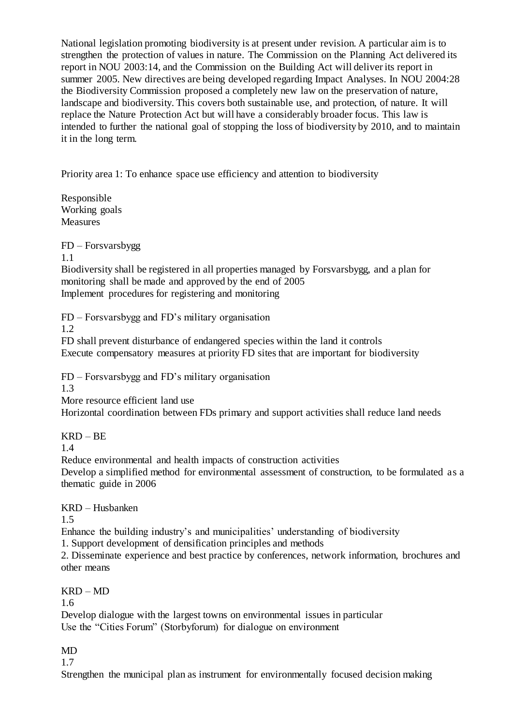National legislation promoting biodiversity is at present under revision. A particular aim is to strengthen the protection of values in nature. The Commission on the Planning Act delivered its report in NOU 2003:14, and the Commission on the Building Act will deliver its report in summer 2005. New directives are being developed regarding Impact Analyses. In NOU 2004:28 the Biodiversity Commission proposed a completely new law on the preservation of nature, landscape and biodiversity. This covers both sustainable use, and protection, of nature. It will replace the Nature Protection Act but will have a considerably broader focus. This law is intended to further the national goal of stopping the loss of biodiversity by 2010, and to maintain it in the long term.

Priority area 1: To enhance space use efficiency and attention to biodiversity

Responsible Working goals Measures

FD – Forsvarsbygg

1.1

Biodiversity shall be registered in all properties managed by Forsvarsbygg, and a plan for monitoring shall be made and approved by the end of 2005 Implement procedures for registering and monitoring

FD – Forsvarsbygg and FD's military organisation

1.2

FD shall prevent disturbance of endangered species within the land it controls Execute compensatory measures at priority FD sites that are important for biodiversity

FD – Forsvarsbygg and FD's military organisation

1.3

More resource efficient land use

Horizontal coordination between FDs primary and support activities shall reduce land needs

KRD – BE

1.4

Reduce environmental and health impacts of construction activities

Develop a simplified method for environmental assessment of construction, to be formulated as a thematic guide in 2006

KRD – Husbanken

1.5

Enhance the building industry's and municipalities' understanding of biodiversity

1. Support development of densification principles and methods

2. Disseminate experience and best practice by conferences, network information, brochures and other means

KRD – MD

1.6

Develop dialogue with the largest towns on environmental issues in particular Use the "Cities Forum" (Storbyforum) for dialogue on environment

MD

1.7

Strengthen the municipal plan as instrument for environmentally focused decision making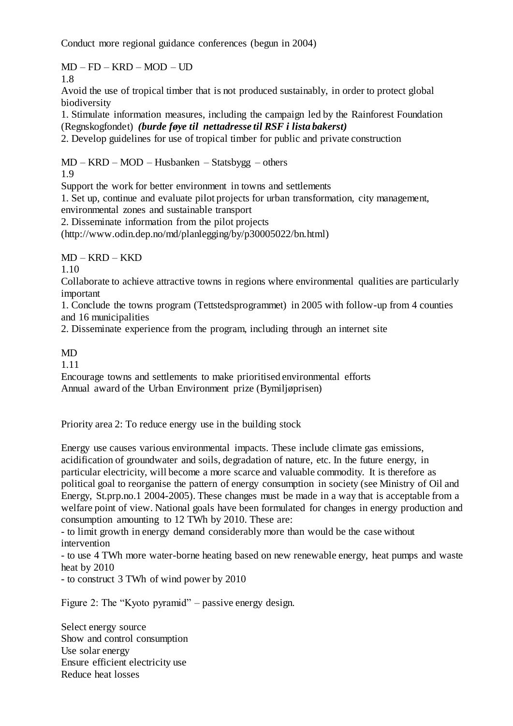Conduct more regional guidance conferences (begun in 2004)

 $MD - FD - KRD - MOD - UD$ 1.8

Avoid the use of tropical timber that is not produced sustainably, in order to protect global biodiversity

1. Stimulate information measures, including the campaign led by the Rainforest Foundation (Regnskogfondet) *(burde føye til nettadresse til RSF i lista bakerst)*

2. Develop guidelines for use of tropical timber for public and private construction

MD – KRD – MOD – Husbanken – Statsbygg – others

1.9

Support the work for better environment in towns and settlements

1. Set up, continue and evaluate pilot projects for urban transformation, city management, environmental zones and sustainable transport

2. Disseminate information from the pilot projects

(http://www.odin.dep.no/md/planlegging/by/p30005022/bn.html)

MD – KRD – KKD

1.10

Collaborate to achieve attractive towns in regions where environmental qualities are particularly important

1. Conclude the towns program (Tettstedsprogrammet) in 2005 with follow-up from 4 counties and 16 municipalities

2. Disseminate experience from the program, including through an internet site

## MD

1.11

Encourage towns and settlements to make prioritised environmental efforts Annual award of the Urban Environment prize (Bymiljøprisen)

Priority area 2: To reduce energy use in the building stock

Energy use causes various environmental impacts. These include climate gas emissions, acidification of groundwater and soils, degradation of nature, etc. In the future energy, in particular electricity, will become a more scarce and valuable commodity. It is therefore as political goal to reorganise the pattern of energy consumption in society (see Ministry of Oil and Energy, St.prp.no.1 2004-2005). These changes must be made in a way that is acceptable from a welfare point of view. National goals have been formulated for changes in energy production and consumption amounting to 12 TWh by 2010. These are:

- to limit growth in energy demand considerably more than would be the case without intervention

- to use 4 TWh more water-borne heating based on new renewable energy, heat pumps and waste heat by 2010

- to construct 3 TWh of wind power by 2010

Figure 2: The "Kyoto pyramid" – passive energy design.

Select energy source Show and control consumption Use solar energy Ensure efficient electricity use Reduce heat losses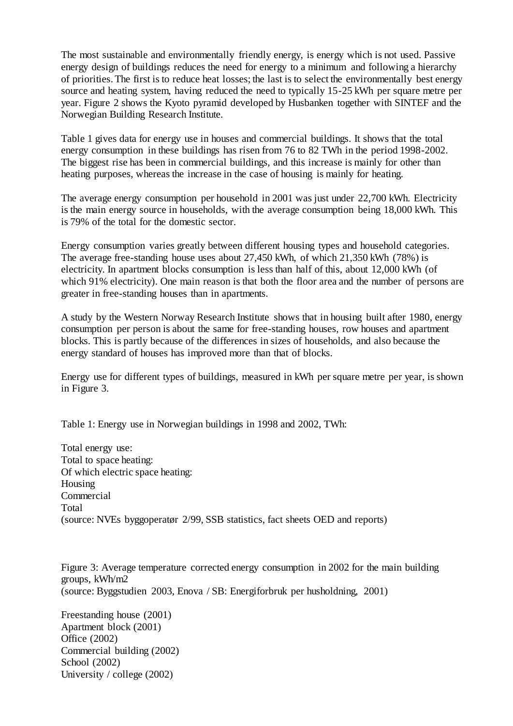The most sustainable and environmentally friendly energy, is energy which is not used. Passive energy design of buildings reduces the need for energy to a minimum and following a hierarchy of priorities. The first is to reduce heat losses; the last is to select the environmentally best energy source and heating system, having reduced the need to typically 15-25 kWh per square metre per year. Figure 2 shows the Kyoto pyramid developed by Husbanken together with SINTEF and the Norwegian Building Research Institute.

Table 1 gives data for energy use in houses and commercial buildings. It shows that the total energy consumption in these buildings has risen from 76 to 82 TWh in the period 1998-2002. The biggest rise has been in commercial buildings, and this increase is mainly for other than heating purposes, whereas the increase in the case of housing is mainly for heating.

The average energy consumption per household in 2001 was just under 22,700 kWh. Electricity is the main energy source in households, with the average consumption being 18,000 kWh. This is 79% of the total for the domestic sector.

Energy consumption varies greatly between different housing types and household categories. The average free-standing house uses about 27,450 kWh, of which 21,350 kWh (78%) is electricity. In apartment blocks consumption is less than half of this, about 12,000 kWh (of which 91% electricity). One main reason is that both the floor area and the number of persons are greater in free-standing houses than in apartments.

A study by the Western Norway Research Institute shows that in housing built after 1980, energy consumption per person is about the same for free-standing houses, row houses and apartment blocks. This is partly because of the differences in sizes of households, and also because the energy standard of houses has improved more than that of blocks.

Energy use for different types of buildings, measured in kWh per square metre per year, is shown in Figure 3.

Table 1: Energy use in Norwegian buildings in 1998 and 2002, TWh:

Total energy use: Total to space heating: Of which electric space heating: Housing Commercial Total (source: NVEs byggoperatør 2/99, SSB statistics, fact sheets OED and reports)

Figure 3: Average temperature corrected energy consumption in 2002 for the main building groups, kWh/m2 (source: Byggstudien 2003, Enova / SB: Energiforbruk per husholdning, 2001)

Freestanding house (2001) Apartment block (2001) Office (2002) Commercial building (2002) School (2002) University / college (2002)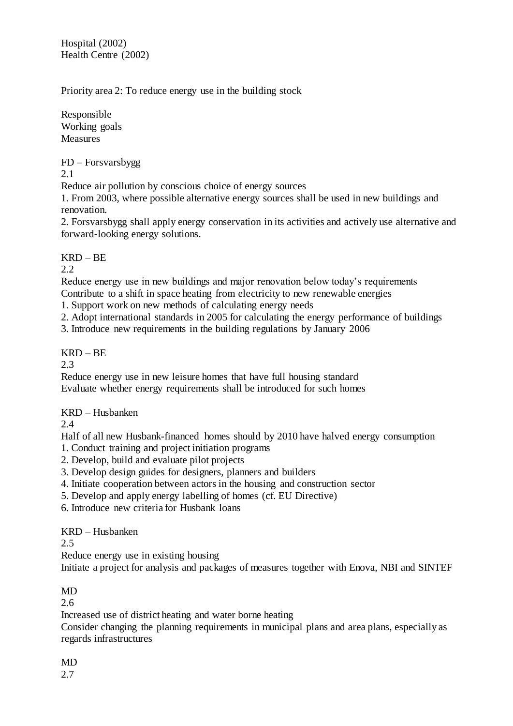Hospital (2002) Health Centre (2002)

Priority area 2: To reduce energy use in the building stock

Responsible Working goals **Measures** 

FD – Forsvarsbygg

2.1

Reduce air pollution by conscious choice of energy sources

1. From 2003, where possible alternative energy sources shall be used in new buildings and renovation.

2. Forsvarsbygg shall apply energy conservation in its activities and actively use alternative and forward-looking energy solutions.

# KRD – BE

2.2

Reduce energy use in new buildings and major renovation below today's requirements Contribute to a shift in space heating from electricity to new renewable energies

1. Support work on new methods of calculating energy needs

2. Adopt international standards in 2005 for calculating the energy performance of buildings

3. Introduce new requirements in the building regulations by January 2006

# KRD – BE

2.3

Reduce energy use in new leisure homes that have full housing standard Evaluate whether energy requirements shall be introduced for such homes

KRD – Husbanken

2.4

Half of all new Husbank-financed homes should by 2010 have halved energy consumption

- 1. Conduct training and project initiation programs
- 2. Develop, build and evaluate pilot projects
- 3. Develop design guides for designers, planners and builders
- 4. Initiate cooperation between actors in the housing and construction sector
- 5. Develop and apply energy labelling of homes (cf. EU Directive)
- 6. Introduce new criteria for Husbank loans

## KRD – Husbanken

2.5

Reduce energy use in existing housing

Initiate a project for analysis and packages of measures together with Enova, NBI and SINTEF

# MD

2.6

Increased use of district heating and water borne heating

Consider changing the planning requirements in municipal plans and area plans, especially as regards infrastructures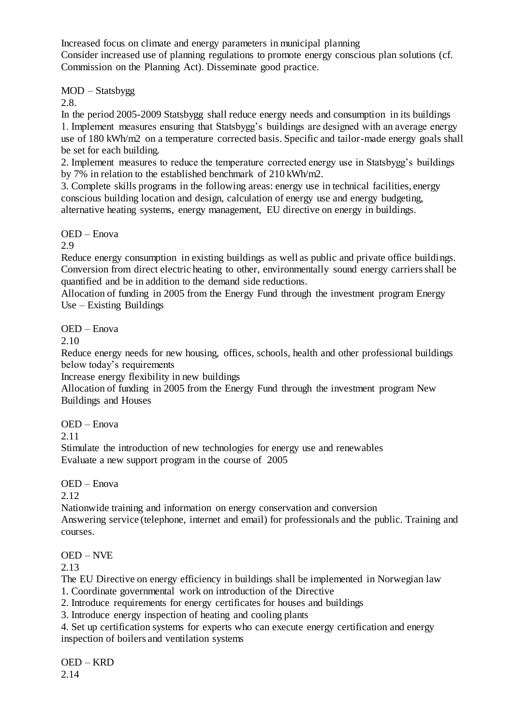Increased focus on climate and energy parameters in municipal planning Consider increased use of planning regulations to promote energy conscious plan solutions (cf. Commission on the Planning Act). Disseminate good practice.

MOD – Statsbygg

2.8.

In the period 2005-2009 Statsbygg shall reduce energy needs and consumption in its buildings 1. Implement measures ensuring that Statsbygg's buildings are designed with an average energy use of 180 kWh/m2 on a temperature corrected basis. Specific and tailor-made energy goals shall be set for each building.

2. Implement measures to reduce the temperature corrected energy use in Statsbygg's buildings by 7% in relation to the established benchmark of 210 kWh/m2.

3. Complete skills programs in the following areas: energy use in technical facilities, energy conscious building location and design, calculation of energy use and energy budgeting, alternative heating systems, energy management, EU directive on energy in buildings.

OED – Enova

2.9

Reduce energy consumption in existing buildings as well as public and private office buildings. Conversion from direct electric heating to other, environmentally sound energy carriers shall be quantified and be in addition to the demand side reductions.

Allocation of funding in 2005 from the Energy Fund through the investment program Energy Use – Existing Buildings

OED – Enova

2.10

Reduce energy needs for new housing, offices, schools, health and other professional buildings below today's requirements

Increase energy flexibility in new buildings

Allocation of funding in 2005 from the Energy Fund through the investment program New Buildings and Houses

OED – Enova

2.11

Stimulate the introduction of new technologies for energy use and renewables Evaluate a new support program in the course of 2005

OED – Enova

2.12

Nationwide training and information on energy conservation and conversion Answering service (telephone, internet and email) for professionals and the public. Training and courses.

OED – NVE

2.13

The EU Directive on energy efficiency in buildings shall be implemented in Norwegian law

1. Coordinate governmental work on introduction of the Directive

2. Introduce requirements for energy certificates for houses and buildings

3. Introduce energy inspection of heating and cooling plants

4. Set up certification systems for experts who can execute energy certification and energy inspection of boilers and ventilation systems

OED – KRD 2.14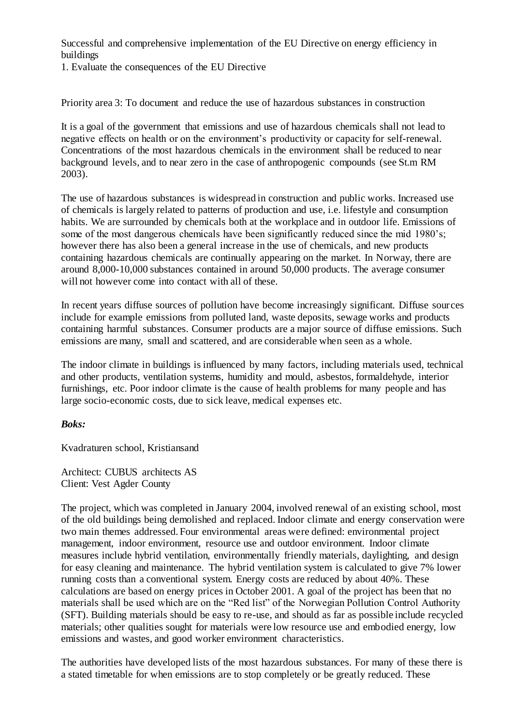Successful and comprehensive implementation of the EU Directive on energy efficiency in buildings

1. Evaluate the consequences of the EU Directive

Priority area 3: To document and reduce the use of hazardous substances in construction

It is a goal of the government that emissions and use of hazardous chemicals shall not lead to negative effects on health or on the environment's productivity or capacity for self-renewal. Concentrations of the most hazardous chemicals in the environment shall be reduced to near background levels, and to near zero in the case of anthropogenic compounds (see St.m RM 2003).

The use of hazardous substances is widespread in construction and public works. Increased use of chemicals is largely related to patterns of production and use, i.e. lifestyle and consumption habits. We are surrounded by chemicals both at the workplace and in outdoor life. Emissions of some of the most dangerous chemicals have been significantly reduced since the mid 1980's; however there has also been a general increase in the use of chemicals, and new products containing hazardous chemicals are continually appearing on the market. In Norway, there are around 8,000-10,000 substances contained in around 50,000 products. The average consumer will not however come into contact with all of these.

In recent years diffuse sources of pollution have become increasingly significant. Diffuse sources include for example emissions from polluted land, waste deposits, sewage works and products containing harmful substances. Consumer products are a major source of diffuse emissions. Such emissions are many, small and scattered, and are considerable when seen as a whole.

The indoor climate in buildings is influenced by many factors, including materials used, technical and other products, ventilation systems, humidity and mould, asbestos, formaldehyde, interior furnishings, etc. Poor indoor climate is the cause of health problems for many people and has large socio-economic costs, due to sick leave, medical expenses etc.

## *Boks:*

Kvadraturen school, Kristiansand

Architect: CUBUS architects AS Client: Vest Agder County

The project, which was completed in January 2004, involved renewal of an existing school, most of the old buildings being demolished and replaced. Indoor climate and energy conservation were two main themes addressed. Four environmental areas were defined: environmental project management, indoor environment, resource use and outdoor environment. Indoor climate measures include hybrid ventilation, environmentally friendly materials, daylighting, and design for easy cleaning and maintenance. The hybrid ventilation system is calculated to give 7% lower running costs than a conventional system. Energy costs are reduced by about 40%. These calculations are based on energy prices in October 2001. A goal of the project has been that no materials shall be used which are on the "Red list" of the Norwegian Pollution Control Authority (SFT). Building materials should be easy to re-use, and should as far as possible include recycled materials; other qualities sought for materials were low resource use and embodied energy, low emissions and wastes, and good worker environment characteristics.

The authorities have developed lists of the most hazardous substances. For many of these there is a stated timetable for when emissions are to stop completely or be greatly reduced. These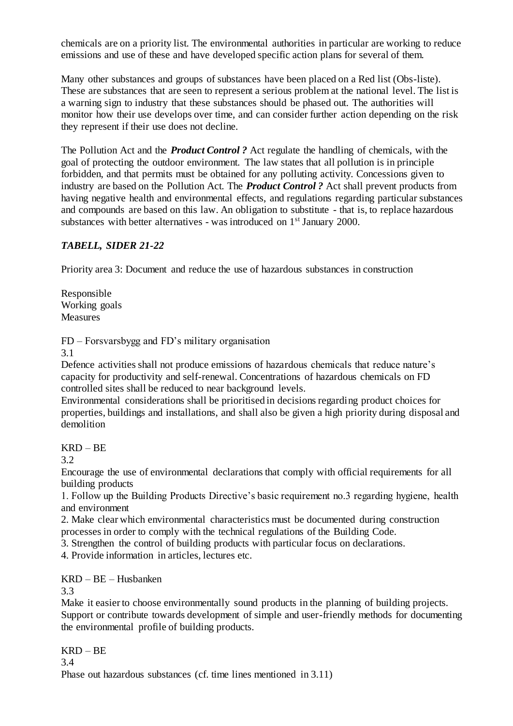chemicals are on a priority list. The environmental authorities in particular are working to reduce emissions and use of these and have developed specific action plans for several of them.

Many other substances and groups of substances have been placed on a Red list (Obs-liste). These are substances that are seen to represent a serious problem at the national level. The list is a warning sign to industry that these substances should be phased out. The authorities will monitor how their use develops over time, and can consider further action depending on the risk they represent if their use does not decline.

The Pollution Act and the *Product Control ?* Act regulate the handling of chemicals, with the goal of protecting the outdoor environment. The law states that all pollution is in principle forbidden, and that permits must be obtained for any polluting activity. Concessions given to industry are based on the Pollution Act. The *Product Control ?* Act shall prevent products from having negative health and environmental effects, and regulations regarding particular substances and compounds are based on this law. An obligation to substitute - that is, to replace hazardous substances with better alternatives - was introduced on 1<sup>st</sup> January 2000.

## *TABELL, SIDER 21-22*

Priority area 3: Document and reduce the use of hazardous substances in construction

Responsible Working goals **Measures** 

FD – Forsvarsbygg and FD's military organisation

3.1

Defence activities shall not produce emissions of hazardous chemicals that reduce nature's capacity for productivity and self-renewal. Concentrations of hazardous chemicals on FD controlled sites shall be reduced to near background levels.

Environmental considerations shall be prioritised in decisions regarding product choices for properties, buildings and installations, and shall also be given a high priority during disposal and demolition

## KRD – BE

3.2

Encourage the use of environmental declarations that comply with official requirements for all building products

1. Follow up the Building Products Directive's basic requirement no.3 regarding hygiene, health and environment

2. Make clear which environmental characteristics must be documented during construction processes in order to comply with the technical regulations of the Building Code.

3. Strengthen the control of building products with particular focus on declarations.

4. Provide information in articles, lectures etc.

KRD – BE – Husbanken

3.3

Make it easier to choose environmentally sound products in the planning of building projects. Support or contribute towards development of simple and user-friendly methods for documenting the environmental profile of building products.

KRD – BE 3.4 Phase out hazardous substances (cf. time lines mentioned in 3.11)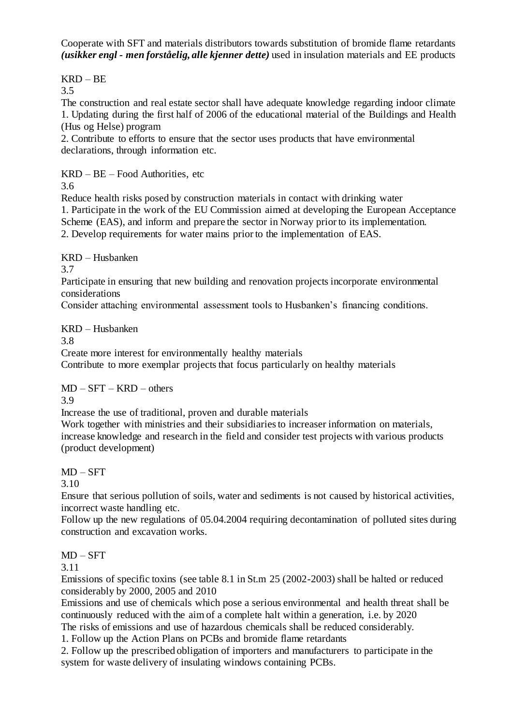Cooperate with SFT and materials distributors towards substitution of bromide flame retardants *(usikker engl - men forståelig, alle kjenner dette)* used in insulation materials and EE products

KRD – BE

3.5

The construction and real estate sector shall have adequate knowledge regarding indoor climate 1. Updating during the first half of 2006 of the educational material of the Buildings and Health (Hus og Helse) program

2. Contribute to efforts to ensure that the sector uses products that have environmental declarations, through information etc.

KRD – BE – Food Authorities, etc

3.6

Reduce health risks posed by construction materials in contact with drinking water 1. Participate in the work of the EU Commission aimed at developing the European Acceptance Scheme (EAS), and inform and prepare the sector in Norway prior to its implementation. 2. Develop requirements for water mains prior to the implementation of EAS.

KRD – Husbanken

3.7

Participate in ensuring that new building and renovation projects incorporate environmental considerations

Consider attaching environmental assessment tools to Husbanken's financing conditions.

KRD – Husbanken

3.8

Create more interest for environmentally healthy materials

Contribute to more exemplar projects that focus particularly on healthy materials

MD – SFT – KRD – others

3.9

Increase the use of traditional, proven and durable materials

Work together with ministries and their subsidiaries to increaser information on materials, increase knowledge and research in the field and consider test projects with various products (product development)

# $MD - SFT$

3.10

Ensure that serious pollution of soils, water and sediments is not caused by historical activities, incorrect waste handling etc.

Follow up the new regulations of 05.04.2004 requiring decontamination of polluted sites during construction and excavation works.

# MD – SFT

3.11

Emissions of specific toxins (see table 8.1 in St.m 25 (2002-2003) shall be halted or reduced considerably by 2000, 2005 and 2010

Emissions and use of chemicals which pose a serious environmental and health threat shall be continuously reduced with the aim of a complete halt within a generation, i.e. by 2020

The risks of emissions and use of hazardous chemicals shall be reduced considerably.

1. Follow up the Action Plans on PCBs and bromide flame retardants

2. Follow up the prescribed obligation of importers and manufacturers to participate in the system for waste delivery of insulating windows containing PCBs.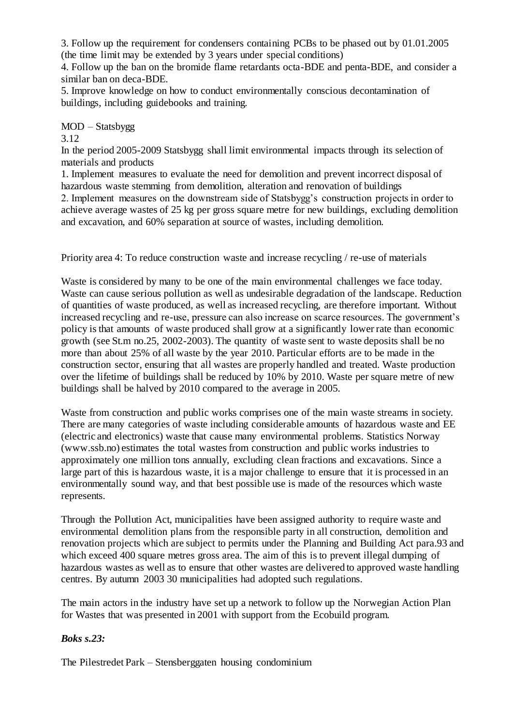3. Follow up the requirement for condensers containing PCBs to be phased out by 01.01.2005 (the time limit may be extended by 3 years under special conditions)

4. Follow up the ban on the bromide flame retardants octa-BDE and penta-BDE, and consider a similar ban on deca-BDE.

5. Improve knowledge on how to conduct environmentally conscious decontamination of buildings, including guidebooks and training.

MOD – Statsbygg

3.12

In the period 2005-2009 Statsbygg shall limit environmental impacts through its selection of materials and products

1. Implement measures to evaluate the need for demolition and prevent incorrect disposal of hazardous waste stemming from demolition, alteration and renovation of buildings 2. Implement measures on the downstream side of Statsbygg's construction projects in order to achieve average wastes of 25 kg per gross square metre for new buildings, excluding demolition and excavation, and 60% separation at source of wastes, including demolition.

Priority area 4: To reduce construction waste and increase recycling / re-use of materials

Waste is considered by many to be one of the main environmental challenges we face today. Waste can cause serious pollution as well as undesirable degradation of the landscape. Reduction of quantities of waste produced, as well as increased recycling, are therefore important. Without increased recycling and re-use, pressure can also increase on scarce resources. The government's policy is that amounts of waste produced shall grow at a significantly lower rate than economic growth (see St.m no.25, 2002-2003). The quantity of waste sent to waste deposits shall be no more than about 25% of all waste by the year 2010. Particular efforts are to be made in the construction sector, ensuring that all wastes are properly handled and treated. Waste production over the lifetime of buildings shall be reduced by 10% by 2010. Waste per square metre of new buildings shall be halved by 2010 compared to the average in 2005.

Waste from construction and public works comprises one of the main waste streams in society. There are many categories of waste including considerable amounts of hazardous waste and EE (electric and electronics) waste that cause many environmental problems. Statistics Norway (www.ssb.no) estimates the total wastes from construction and public works industries to approximately one million tons annually, excluding clean fractions and excavations. Since a large part of this is hazardous waste, it is a major challenge to ensure that it is processed in an environmentally sound way, and that best possible use is made of the resources which waste represents.

Through the Pollution Act, municipalities have been assigned authority to require waste and environmental demolition plans from the responsible party in all construction, demolition and renovation projects which are subject to permits under the Planning and Building Act para.93 and which exceed 400 square metres gross area. The aim of this is to prevent illegal dumping of hazardous wastes as well as to ensure that other wastes are delivered to approved waste handling centres. By autumn 2003 30 municipalities had adopted such regulations.

The main actors in the industry have set up a network to follow up the Norwegian Action Plan for Wastes that was presented in 2001 with support from the Ecobuild program.

## *Boks s.23:*

The Pilestredet Park – Stensberggaten housing condominium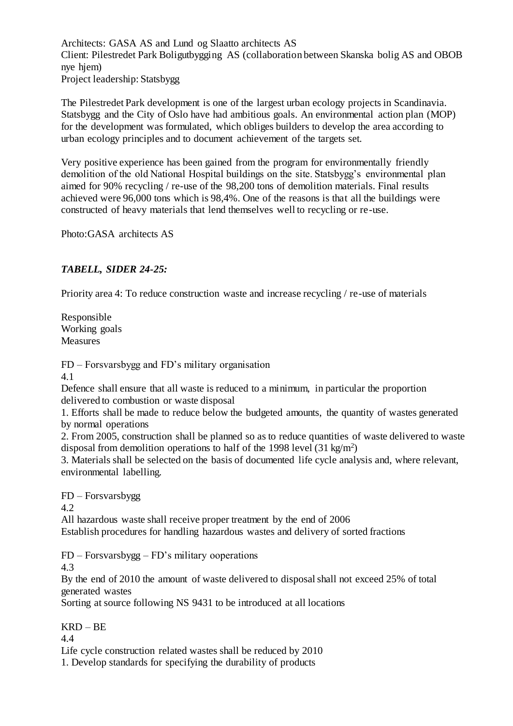Architects: GASA AS and Lund og Slaatto architects AS Client: Pilestredet Park Boligutbygging AS (collaboration between Skanska bolig AS and OBOB nye hjem) Project leadership: Statsbygg

The Pilestredet Park development is one of the largest urban ecology projects in Scandinavia. Statsbygg and the City of Oslo have had ambitious goals. An environmental action plan (MOP) for the development was formulated, which obliges builders to develop the area according to urban ecology principles and to document achievement of the targets set.

Very positive experience has been gained from the program for environmentally friendly demolition of the old National Hospital buildings on the site. Statsbygg's environmental plan aimed for 90% recycling / re-use of the 98,200 tons of demolition materials. Final results achieved were 96,000 tons which is 98,4%. One of the reasons is that all the buildings were constructed of heavy materials that lend themselves well to recycling or re-use.

Photo:GASA architects AS

## *TABELL, SIDER 24-25:*

Priority area 4: To reduce construction waste and increase recycling / re-use of materials

Responsible Working goals Measures

FD – Forsvarsbygg and FD's military organisation

4.1

Defence shall ensure that all waste is reduced to a minimum, in particular the proportion delivered to combustion or waste disposal

1. Efforts shall be made to reduce below the budgeted amounts, the quantity of wastes generated by normal operations

2. From 2005, construction shall be planned so as to reduce quantities of waste delivered to waste disposal from demolition operations to half of the 1998 level  $(31 \text{ kg/m}^2)$ 

3. Materials shall be selected on the basis of documented life cycle analysis and, where relevant, environmental labelling.

FD – Forsvarsbygg 4.2

All hazardous waste shall receive proper treatment by the end of 2006 Establish procedures for handling hazardous wastes and delivery of sorted fractions

FD – Forsvarsbygg – FD's military ooperations

4.3

By the end of 2010 the amount of waste delivered to disposal shall not exceed 25% of total generated wastes

Sorting at source following NS 9431 to be introduced at all locations

## KRD – BE

4.4

Life cycle construction related wastes shall be reduced by 2010

1. Develop standards for specifying the durability of products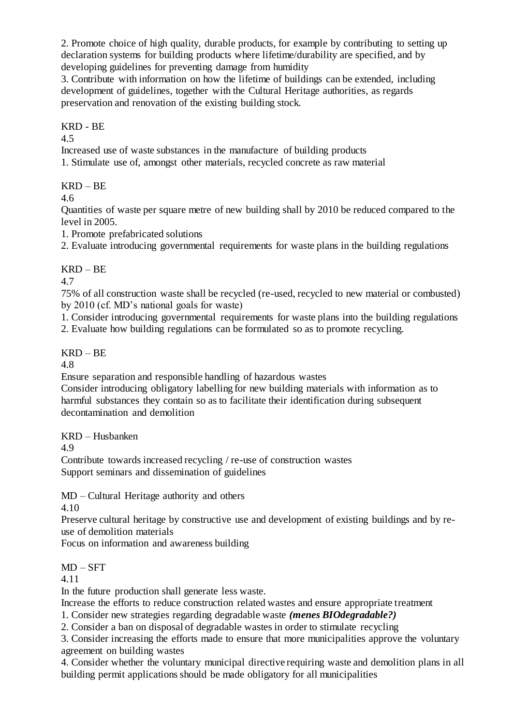2. Promote choice of high quality, durable products, for example by contributing to setting up declaration systems for building products where lifetime/durability are specified, and by developing guidelines for preventing damage from humidity

3. Contribute with information on how the lifetime of buildings can be extended, including development of guidelines, together with the Cultural Heritage authorities, as regards preservation and renovation of the existing building stock.

KRD - BE

4.5

Increased use of waste substances in the manufacture of building products

1. Stimulate use of, amongst other materials, recycled concrete as raw material

 $KRD - BE$ 

4.6

Quantities of waste per square metre of new building shall by 2010 be reduced compared to the level in 2005.

1. Promote prefabricated solutions

2. Evaluate introducing governmental requirements for waste plans in the building regulations

## KRD – BE

4.7

75% of all construction waste shall be recycled (re-used, recycled to new material or combusted) by 2010 (cf. MD's national goals for waste)

1. Consider introducing governmental requirements for waste plans into the building regulations

2. Evaluate how building regulations can be formulated so as to promote recycling.

## KRD – BE

4.8

Ensure separation and responsible handling of hazardous wastes

Consider introducing obligatory labelling for new building materials with information as to harmful substances they contain so as to facilitate their identification during subsequent decontamination and demolition

KRD – Husbanken

4.9

Contribute towards increased recycling / re-use of construction wastes Support seminars and dissemination of guidelines

MD – Cultural Heritage authority and others

4.10

Preserve cultural heritage by constructive use and development of existing buildings and by reuse of demolition materials

Focus on information and awareness building

 $MD - SFT$ 

4.11

In the future production shall generate less waste.

Increase the efforts to reduce construction related wastes and ensure appropriate treatment

1. Consider new strategies regarding degradable waste *(menes BIOdegradable?)*

2. Consider a ban on disposal of degradable wastes in order to stimulate recycling

3. Consider increasing the efforts made to ensure that more municipalities approve the voluntary

agreement on building wastes

4. Consider whether the voluntary municipal directive requiring waste and demolition plans in all building permit applications should be made obligatory for all municipalities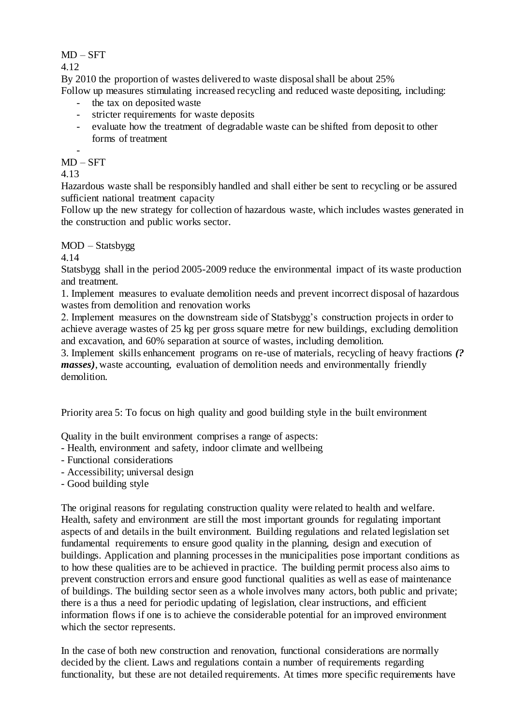MD – SFT

4.12

By 2010 the proportion of wastes delivered to waste disposal shall be about 25% Follow up measures stimulating increased recycling and reduced waste depositing, including:

- the tax on deposited waste
- stricter requirements for waste deposits
- evaluate how the treatment of degradable waste can be shifted from deposit to other forms of treatment

#### -  $MD - SFT$

4.13

Hazardous waste shall be responsibly handled and shall either be sent to recycling or be assured sufficient national treatment capacity

Follow up the new strategy for collection of hazardous waste, which includes wastes generated in the construction and public works sector.

## MOD – Statsbygg

4.14

Statsbygg shall in the period 2005-2009 reduce the environmental impact of its waste production and treatment.

1. Implement measures to evaluate demolition needs and prevent incorrect disposal of hazardous wastes from demolition and renovation works

2. Implement measures on the downstream side of Statsbygg's construction projects in order to achieve average wastes of 25 kg per gross square metre for new buildings, excluding demolition and excavation, and 60% separation at source of wastes, including demolition.

3. Implement skills enhancement programs on re-use of materials, recycling of heavy fractions *(? masses*), waste accounting, evaluation of demolition needs and environmentally friendly demolition.

Priority area 5: To focus on high quality and good building style in the built environment

Quality in the built environment comprises a range of aspects:

- Health, environment and safety, indoor climate and wellbeing
- Functional considerations
- Accessibility; universal design
- Good building style

The original reasons for regulating construction quality were related to health and welfare. Health, safety and environment are still the most important grounds for regulating important aspects of and details in the built environment. Building regulations and related legislation set fundamental requirements to ensure good quality in the planning, design and execution of buildings. Application and planning processes in the municipalities pose important conditions as to how these qualities are to be achieved in practice. The building permit process also aims to prevent construction errors and ensure good functional qualities as well as ease of maintenance of buildings. The building sector seen as a whole involves many actors, both public and private; there is a thus a need for periodic updating of legislation, clear instructions, and efficient information flows if one is to achieve the considerable potential for an improved environment which the sector represents.

In the case of both new construction and renovation, functional considerations are normally decided by the client. Laws and regulations contain a number of requirements regarding functionality, but these are not detailed requirements. At times more specific requirements have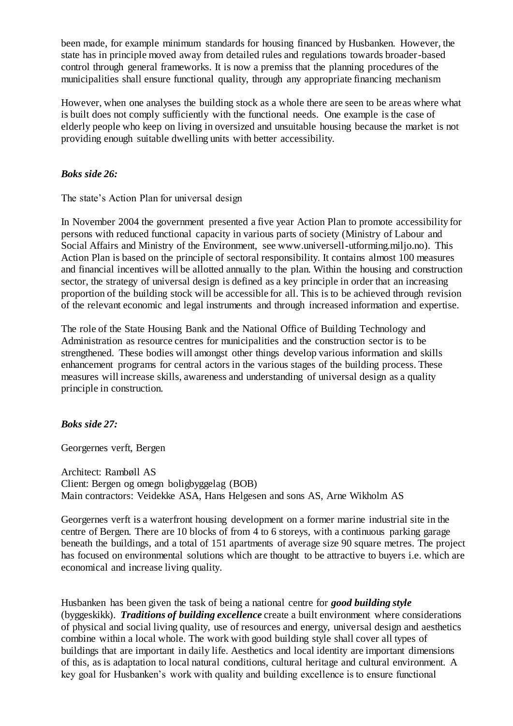been made, for example minimum standards for housing financed by Husbanken. However, the state has in principle moved away from detailed rules and regulations towards broader-based control through general frameworks. It is now a premiss that the planning procedures of the municipalities shall ensure functional quality, through any appropriate financing mechanism

However, when one analyses the building stock as a whole there are seen to be areas where what is built does not comply sufficiently with the functional needs. One example is the case of elderly people who keep on living in oversized and unsuitable housing because the market is not providing enough suitable dwelling units with better accessibility.

## *Boks side 26:*

The state's Action Plan for universal design

In November 2004 the government presented a five year Action Plan to promote accessibility for persons with reduced functional capacity in various parts of society (Ministry of Labour and Social Affairs and Ministry of the Environment, see www.universell-utforming.miljo.no). This Action Plan is based on the principle of sectoral responsibility. It contains almost 100 measures and financial incentives will be allotted annually to the plan. Within the housing and construction sector, the strategy of universal design is defined as a key principle in order that an increasing proportion of the building stock will be accessible for all. This is to be achieved through revision of the relevant economic and legal instruments and through increased information and expertise.

The role of the State Housing Bank and the National Office of Building Technology and Administration as resource centres for municipalities and the construction sector is to be strengthened. These bodies will amongst other things develop various information and skills enhancement programs for central actors in the various stages of the building process. These measures will increase skills, awareness and understanding of universal design as a quality principle in construction.

## *Boks side 27:*

Georgernes verft, Bergen

Architect: Rambøll AS Client: Bergen og omegn boligbyggelag (BOB) Main contractors: Veidekke ASA, Hans Helgesen and sons AS, Arne Wikholm AS

Georgernes verft is a waterfront housing development on a former marine industrial site in the centre of Bergen. There are 10 blocks of from 4 to 6 storeys, with a continuous parking garage beneath the buildings, and a total of 151 apartments of average size 90 square metres. The project has focused on environmental solutions which are thought to be attractive to buyers i.e. which are economical and increase living quality.

Husbanken has been given the task of being a national centre for *good building style*  (byggeskikk). *Traditions of building excellence* create a built environment where considerations of physical and social living quality, use of resources and energy, universal design and aesthetics combine within a local whole. The work with good building style shall cover all types of buildings that are important in daily life. Aesthetics and local identity are important dimensions of this, as is adaptation to local natural conditions, cultural heritage and cultural environment. A key goal for Husbanken's work with quality and building excellence is to ensure functional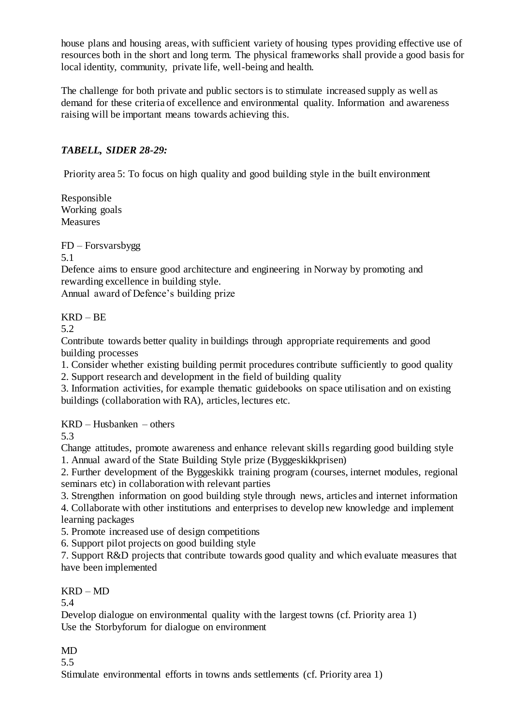house plans and housing areas, with sufficient variety of housing types providing effective use of resources both in the short and long term. The physical frameworks shall provide a good basis for local identity, community, private life, well-being and health.

The challenge for both private and public sectors is to stimulate increased supply as well as demand for these criteria of excellence and environmental quality. Information and awareness raising will be important means towards achieving this.

## *TABELL, SIDER 28-29:*

Priority area 5: To focus on high quality and good building style in the built environment

Responsible Working goals Measures

FD – Forsvarsbygg

5.1

Defence aims to ensure good architecture and engineering in Norway by promoting and rewarding excellence in building style.

Annual award of Defence's building prize

 $KRD - BE$ 

5.2

Contribute towards better quality in buildings through appropriate requirements and good building processes

1. Consider whether existing building permit procedures contribute sufficiently to good quality 2. Support research and development in the field of building quality

3. Information activities, for example thematic guidebooks on space utilisation and on existing buildings (collaboration with RA), articles, lectures etc.

KRD – Husbanken – others

5.3

Change attitudes, promote awareness and enhance relevant skills regarding good building style 1. Annual award of the State Building Style prize (Byggeskikkprisen)

2. Further development of the Byggeskikk training program (courses, internet modules, regional seminars etc) in collaboration with relevant parties

3. Strengthen information on good building style through news, articles and internet information

4. Collaborate with other institutions and enterprises to develop new knowledge and implement learning packages

5. Promote increased use of design competitions

6. Support pilot projects on good building style

7. Support R&D projects that contribute towards good quality and which evaluate measures that have been implemented

KRD – MD

5.4

Develop dialogue on environmental quality with the largest towns (cf. Priority area 1) Use the Storbyforum for dialogue on environment

MD

5.5

Stimulate environmental efforts in towns ands settlements (cf. Priority area 1)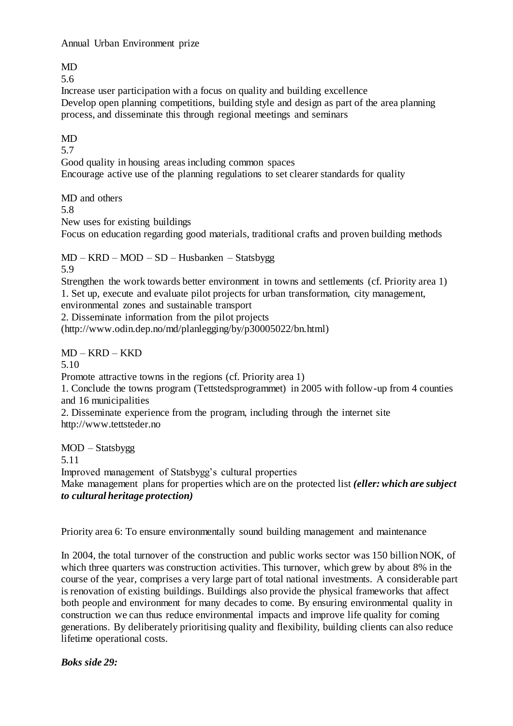Annual Urban Environment prize

MD

5.6

Increase user participation with a focus on quality and building excellence Develop open planning competitions, building style and design as part of the area planning process, and disseminate this through regional meetings and seminars

## MD

5.7

Good quality in housing areas including common spaces Encourage active use of the planning regulations to set clearer standards for quality

MD and others

5.8

New uses for existing buildings

Focus on education regarding good materials, traditional crafts and proven building methods

MD – KRD – MOD – SD – Husbanken – Statsbygg 5.9

Strengthen the work towards better environment in towns and settlements (cf. Priority area 1) 1. Set up, execute and evaluate pilot projects for urban transformation, city management, environmental zones and sustainable transport

2. Disseminate information from the pilot projects

(http://www.odin.dep.no/md/planlegging/by/p30005022/bn.html)

MD – KRD – KKD

5.10

Promote attractive towns in the regions (cf. Priority area 1)

1. Conclude the towns program (Tettstedsprogrammet) in 2005 with follow-up from 4 counties and 16 municipalities

2. Disseminate experience from the program, including through the internet site http://www.tettsteder.no

MOD – Statsbygg

5.11

Improved management of Statsbygg's cultural properties

Make management plans for properties which are on the protected list *(eller: which are subject to cultural heritage protection)*

Priority area 6: To ensure environmentally sound building management and maintenance

In 2004, the total turnover of the construction and public works sector was 150 billion NOK, of which three quarters was construction activities. This turnover, which grew by about 8% in the course of the year, comprises a very large part of total national investments. A considerable part is renovation of existing buildings. Buildings also provide the physical frameworks that affect both people and environment for many decades to come. By ensuring environmental quality in construction we can thus reduce environmental impacts and improve life quality for coming generations. By deliberately prioritising quality and flexibility, building clients can also reduce lifetime operational costs.

*Boks side 29:*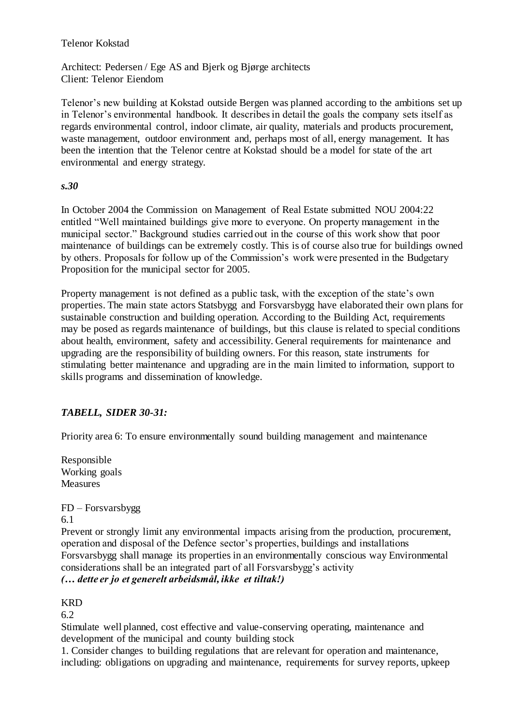Telenor Kokstad

Architect: Pedersen / Ege AS and Bjerk og Bjørge architects Client: Telenor Eiendom

Telenor's new building at Kokstad outside Bergen was planned according to the ambitions set up in Telenor's environmental handbook. It describes in detail the goals the company sets itself as regards environmental control, indoor climate, air quality, materials and products procurement, waste management, outdoor environment and, perhaps most of all, energy management. It has been the intention that the Telenor centre at Kokstad should be a model for state of the art environmental and energy strategy.

### *s.30*

In October 2004 the Commission on Management of Real Estate submitted NOU 2004:22 entitled "Well maintained buildings give more to everyone. On property management in the municipal sector." Background studies carried out in the course of this work show that poor maintenance of buildings can be extremely costly. This is of course also true for buildings owned by others. Proposals for follow up of the Commission's work were presented in the Budgetary Proposition for the municipal sector for 2005.

Property management is not defined as a public task, with the exception of the state's own properties. The main state actors Statsbygg and Forsvarsbygg have elaborated their own plans for sustainable construction and building operation. According to the Building Act, requirements may be posed as regards maintenance of buildings, but this clause is related to special conditions about health, environment, safety and accessibility. General requirements for maintenance and upgrading are the responsibility of building owners. For this reason, state instruments for stimulating better maintenance and upgrading are in the main limited to information, support to skills programs and dissemination of knowledge.

## *TABELL, SIDER 30-31:*

Priority area 6: To ensure environmentally sound building management and maintenance

Responsible Working goals Measures

FD – Forsvarsbygg 6.1

Prevent or strongly limit any environmental impacts arising from the production, procurement, operation and disposal of the Defence sector's properties, buildings and installations Forsvarsbygg shall manage its properties in an environmentally conscious way Environmental considerations shall be an integrated part of all Forsvarsbygg's activity *(… dette er jo et generelt arbeidsmål, ikke et tiltak!)*

## **KRD**

6.2

Stimulate well planned, cost effective and value-conserving operating, maintenance and development of the municipal and county building stock

1. Consider changes to building regulations that are relevant for operation and maintenance, including: obligations on upgrading and maintenance, requirements for survey reports, upkeep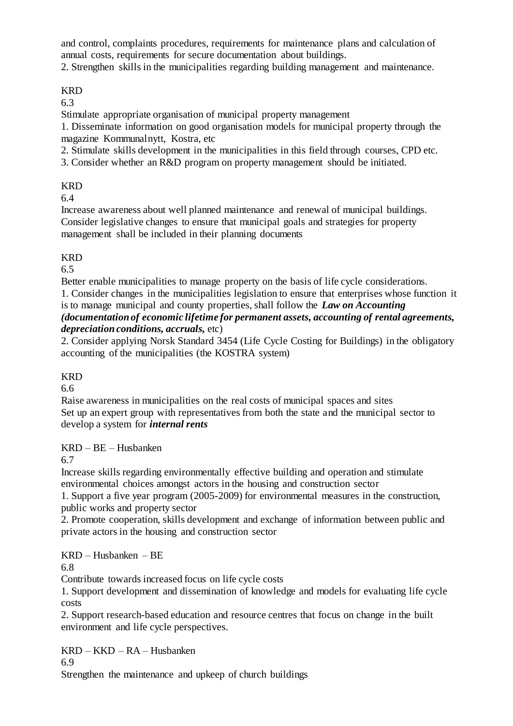and control, complaints procedures, requirements for maintenance plans and calculation of annual costs, requirements for secure documentation about buildings.

2. Strengthen skills in the municipalities regarding building management and maintenance.

## KRD

6.3

Stimulate appropriate organisation of municipal property management

1. Disseminate information on good organisation models for municipal property through the magazine Kommunalnytt, Kostra, etc

2. Stimulate skills development in the municipalities in this field through courses, CPD etc.

3. Consider whether an R&D program on property management should be initiated.

## KRD

6.4

Increase awareness about well planned maintenance and renewal of municipal buildings. Consider legislative changes to ensure that municipal goals and strategies for property management shall be included in their planning documents

## KRD

6.5

Better enable municipalities to manage property on the basis of life cycle considerations.

1. Consider changes in the municipalities legislation to ensure that enterprises whose function it is to manage municipal and county properties, shall follow the *Law on Accounting* 

## *(documentation of economic lifetime for permanent assets, accounting of rental agreements, depreciation conditions, accruals,* etc)

2. Consider applying Norsk Standard 3454 (Life Cycle Costing for Buildings) in the obligatory accounting of the municipalities (the KOSTRA system)

## KRD

6.6

Raise awareness in municipalities on the real costs of municipal spaces and sites Set up an expert group with representatives from both the state and the municipal sector to develop a system for *internal rents*

## KRD – BE – Husbanken

6.7

Increase skills regarding environmentally effective building and operation and stimulate environmental choices amongst actors in the housing and construction sector

1. Support a five year program (2005-2009) for environmental measures in the construction, public works and property sector

2. Promote cooperation, skills development and exchange of information between public and private actors in the housing and construction sector

## KRD – Husbanken – BE

6.8

Contribute towards increased focus on life cycle costs

1. Support development and dissemination of knowledge and models for evaluating life cycle costs

2. Support research-based education and resource centres that focus on change in the built environment and life cycle perspectives.

KRD – KKD – RA – Husbanken

6.9

Strengthen the maintenance and upkeep of church buildings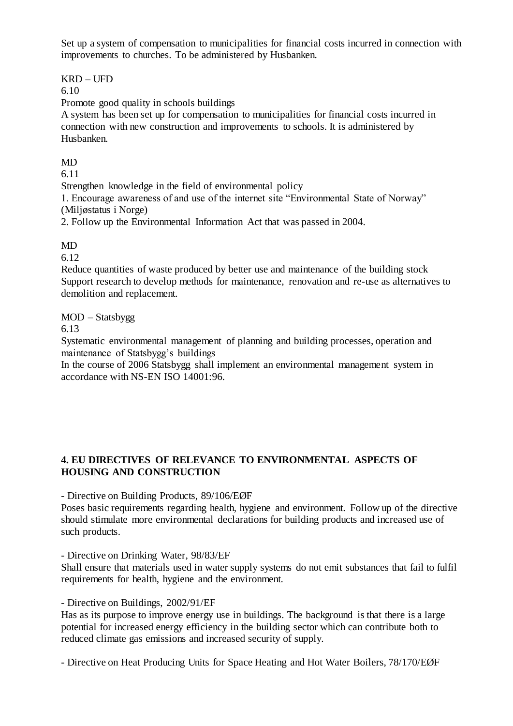Set up a system of compensation to municipalities for financial costs incurred in connection with improvements to churches. To be administered by Husbanken.

## KRD – UFD

6.10

Promote good quality in schools buildings

A system has been set up for compensation to municipalities for financial costs incurred in connection with new construction and improvements to schools. It is administered by Husbanken.

## MD

6.11

Strengthen knowledge in the field of environmental policy

1. Encourage awareness of and use of the internet site "Environmental State of Norway" (Miljøstatus i Norge)

2. Follow up the Environmental Information Act that was passed in 2004.

## MD

6.12

Reduce quantities of waste produced by better use and maintenance of the building stock Support research to develop methods for maintenance, renovation and re-use as alternatives to demolition and replacement.

MOD – Statsbygg

6.13

Systematic environmental management of planning and building processes, operation and maintenance of Statsbygg's buildings

In the course of 2006 Statsbygg shall implement an environmental management system in accordance with NS-EN ISO 14001:96.

## **4. EU DIRECTIVES OF RELEVANCE TO ENVIRONMENTAL ASPECTS OF HOUSING AND CONSTRUCTION**

- Directive on Building Products, 89/106/EØF

Poses basic requirements regarding health, hygiene and environment. Follow up of the directive should stimulate more environmental declarations for building products and increased use of such products.

- Directive on Drinking Water, 98/83/EF

Shall ensure that materials used in water supply systems do not emit substances that fail to fulfil requirements for health, hygiene and the environment.

- Directive on Buildings, 2002/91/EF

Has as its purpose to improve energy use in buildings. The background is that there is a large potential for increased energy efficiency in the building sector which can contribute both to reduced climate gas emissions and increased security of supply.

- Directive on Heat Producing Units for Space Heating and Hot Water Boilers, 78/170/EØF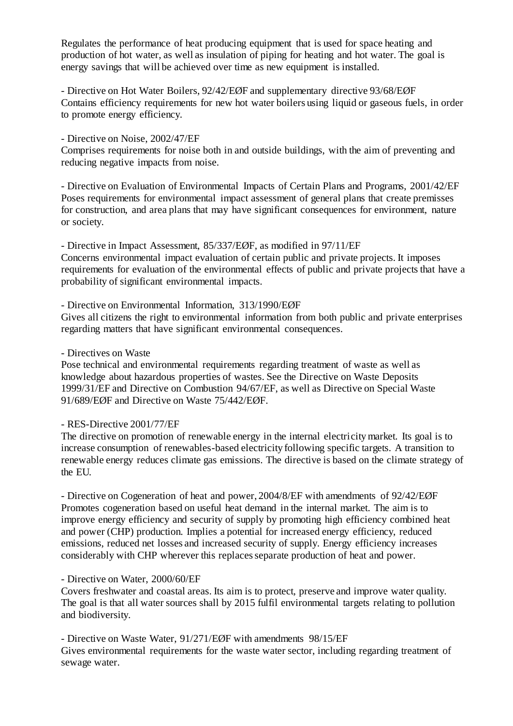Regulates the performance of heat producing equipment that is used for space heating and production of hot water, as well as insulation of piping for heating and hot water. The goal is energy savings that will be achieved over time as new equipment is installed.

- Directive on Hot Water Boilers, 92/42/EØF and supplementary directive 93/68/EØF Contains efficiency requirements for new hot water boilers using liquid or gaseous fuels, in order to promote energy efficiency.

### - Directive on Noise, 2002/47/EF

Comprises requirements for noise both in and outside buildings, with the aim of preventing and reducing negative impacts from noise.

- Directive on Evaluation of Environmental Impacts of Certain Plans and Programs, 2001/42/EF Poses requirements for environmental impact assessment of general plans that create premisses for construction, and area plans that may have significant consequences for environment, nature or society.

- Directive in Impact Assessment, 85/337/EØF, as modified in 97/11/EF Concerns environmental impact evaluation of certain public and private projects. It imposes requirements for evaluation of the environmental effects of public and private projects that have a probability of significant environmental impacts.

### - Directive on Environmental Information, 313/1990/EØF

Gives all citizens the right to environmental information from both public and private enterprises regarding matters that have significant environmental consequences.

### - Directives on Waste

Pose technical and environmental requirements regarding treatment of waste as well as knowledge about hazardous properties of wastes. See the Directive on Waste Deposits 1999/31/EF and Directive on Combustion 94/67/EF, as well as Directive on Special Waste 91/689/EØF and Directive on Waste 75/442/EØF.

## - RES-Directive 2001/77/EF

The directive on promotion of renewable energy in the internal electricity market. Its goal is to increase consumption of renewables-based electricity following specific targets. A transition to renewable energy reduces climate gas emissions. The directive is based on the climate strategy of the EU.

- Directive on Cogeneration of heat and power, 2004/8/EF with amendments of 92/42/EØF Promotes cogeneration based on useful heat demand in the internal market. The aim is to improve energy efficiency and security of supply by promoting high efficiency combined heat and power (CHP) production. Implies a potential for increased energy efficiency, reduced emissions, reduced net losses and increased security of supply. Energy efficiency increases considerably with CHP wherever this replaces separate production of heat and power.

## - Directive on Water, 2000/60/EF

Covers freshwater and coastal areas. Its aim is to protect, preserve and improve water quality. The goal is that all water sources shall by 2015 fulfil environmental targets relating to pollution and biodiversity.

- Directive on Waste Water, 91/271/EØF with amendments 98/15/EF Gives environmental requirements for the waste water sector, including regarding treatment of sewage water.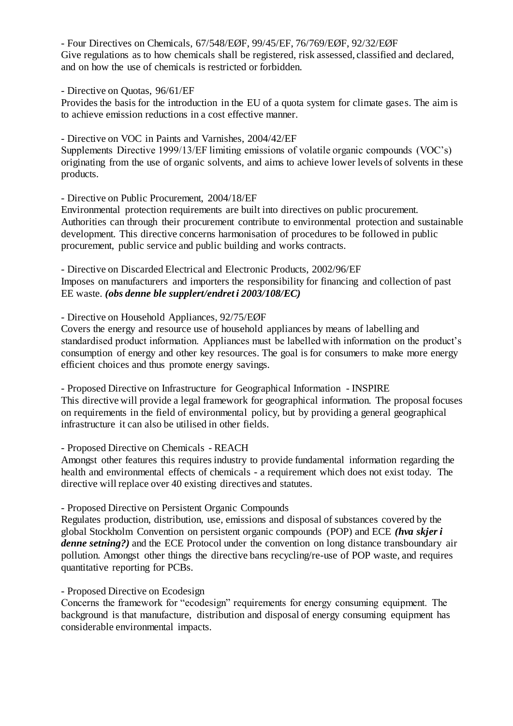- Four Directives on Chemicals, 67/548/EØF, 99/45/EF, 76/769/EØF, 92/32/EØF Give regulations as to how chemicals shall be registered, risk assessed, classified and declared, and on how the use of chemicals is restricted or forbidden.

### - Directive on Quotas, 96/61/EF

Provides the basis for the introduction in the EU of a quota system for climate gases. The aim is to achieve emission reductions in a cost effective manner.

- Directive on VOC in Paints and Varnishes, 2004/42/EF

Supplements Directive 1999/13/EF limiting emissions of volatile organic compounds (VOC's) originating from the use of organic solvents, and aims to achieve lower levels of solvents in these products.

### - Directive on Public Procurement, 2004/18/EF

Environmental protection requirements are built into directives on public procurement. Authorities can through their procurement contribute to environmental protection and sustainable development. This directive concerns harmonisation of procedures to be followed in public procurement, public service and public building and works contracts.

- Directive on Discarded Electrical and Electronic Products, 2002/96/EF Imposes on manufacturers and importers the responsibility for financing and collection of past EE waste. *(obs denne ble supplert/endret i 2003/108/EC)*

### - Directive on Household Appliances, 92/75/EØF

Covers the energy and resource use of household appliances by means of labelling and standardised product information. Appliances must be labelled with information on the product's consumption of energy and other key resources. The goal is for consumers to make more energy efficient choices and thus promote energy savings.

- Proposed Directive on Infrastructure for Geographical Information - INSPIRE This directive will provide a legal framework for geographical information. The proposal focuses on requirements in the field of environmental policy, but by providing a general geographical infrastructure it can also be utilised in other fields.

### - Proposed Directive on Chemicals - REACH

Amongst other features this requires industry to provide fundamental information regarding the health and environmental effects of chemicals - a requirement which does not exist today. The directive will replace over 40 existing directives and statutes.

### - Proposed Directive on Persistent Organic Compounds

Regulates production, distribution, use, emissions and disposal of substances covered by the global Stockholm Convention on persistent organic compounds (POP) and ECE *(hva skjer i denne setning?)* and the ECE Protocol under the convention on long distance transboundary air pollution. Amongst other things the directive bans recycling/re-use of POP waste, and requires quantitative reporting for PCBs.

### - Proposed Directive on Ecodesign

Concerns the framework for "ecodesign" requirements for energy consuming equipment. The background is that manufacture, distribution and disposal of energy consuming equipment has considerable environmental impacts.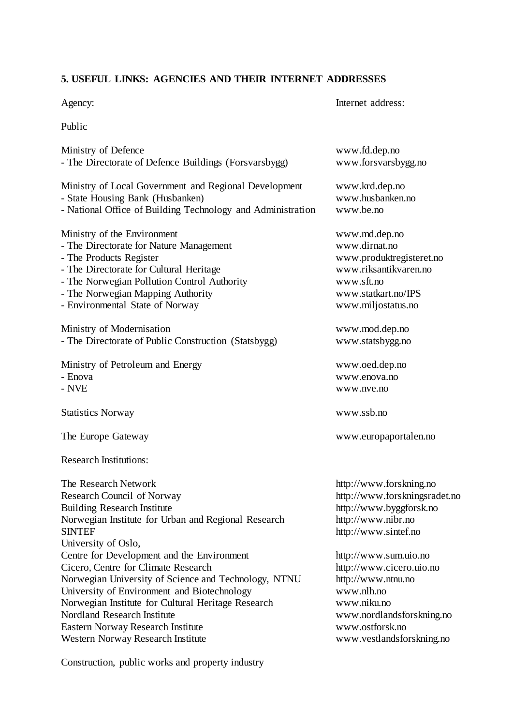## **5. USEFUL LINKS: AGENCIES AND THEIR INTERNET ADDRESSES**

| venc |
|------|
|------|

Internet address:

Public

| Ministry of Defence                                                                                                                                                              | www.fd.dep.no                                                                                                                     |
|----------------------------------------------------------------------------------------------------------------------------------------------------------------------------------|-----------------------------------------------------------------------------------------------------------------------------------|
| - The Directorate of Defence Buildings (Forsvarsbygg)                                                                                                                            | www.forsvarsbygg.no                                                                                                               |
| Ministry of Local Government and Regional Development                                                                                                                            | www.krd.dep.no                                                                                                                    |
| - State Housing Bank (Husbanken)                                                                                                                                                 | www.husbanken.no                                                                                                                  |
| - National Office of Building Technology and Administration                                                                                                                      | www.be.no                                                                                                                         |
| Ministry of the Environment                                                                                                                                                      | www.md.dep.no                                                                                                                     |
| - The Directorate for Nature Management                                                                                                                                          | www.dirnat.no                                                                                                                     |
| - The Products Register                                                                                                                                                          | www.produktregisteret.no                                                                                                          |
| - The Directorate for Cultural Heritage                                                                                                                                          | www.riksantikvaren.no                                                                                                             |
| - The Norwegian Pollution Control Authority                                                                                                                                      | www.sft.no                                                                                                                        |
| - The Norwegian Mapping Authority                                                                                                                                                | www.statkart.no/IPS                                                                                                               |
| - Environmental State of Norway                                                                                                                                                  | www.miljostatus.no                                                                                                                |
| Ministry of Modernisation                                                                                                                                                        | www.mod.dep.no                                                                                                                    |
| - The Directorate of Public Construction (Statsbygg)                                                                                                                             | www.statsbygg.no                                                                                                                  |
| Ministry of Petroleum and Energy                                                                                                                                                 | www.oed.dep.no                                                                                                                    |
| - Enova                                                                                                                                                                          | www.enova.no                                                                                                                      |
| $-$ NVE                                                                                                                                                                          | www.nve.no                                                                                                                        |
| <b>Statistics Norway</b>                                                                                                                                                         | www.ssb.no                                                                                                                        |
| The Europe Gateway                                                                                                                                                               | www.europaportalen.no                                                                                                             |
| <b>Research Institutions:</b>                                                                                                                                                    |                                                                                                                                   |
| The Research Network<br>Research Council of Norway<br><b>Building Research Institute</b><br>Norwegian Institute for Urban and Regional Research<br>SINTEF<br>University of Oslo, | http://www.forskning.no<br>http://www.forskningsradet.no<br>http://www.byggforsk.no<br>http://www.nibr.no<br>http://www.sintef.no |
| Centre for Development and the Environment                                                                                                                                       | http://www.sum.uio.no                                                                                                             |
| Cicero, Centre for Climate Research                                                                                                                                              | http://www.cicero.uio.no                                                                                                          |
| Norwegian University of Science and Technology, NTNU                                                                                                                             | http://www.ntnu.no                                                                                                                |
| University of Environment and Biotechnology                                                                                                                                      | www.nlh.no                                                                                                                        |
| Norwegian Institute for Cultural Heritage Research                                                                                                                               | www.niku.no                                                                                                                       |
| Nordland Research Institute                                                                                                                                                      | www.nordlandsforskning.no                                                                                                         |
| Eastern Norway Research Institute                                                                                                                                                | www.ostforsk.no                                                                                                                   |
| Western Norway Research Institute                                                                                                                                                | www.vestlandsforskning.no                                                                                                         |

Construction, public works and property industry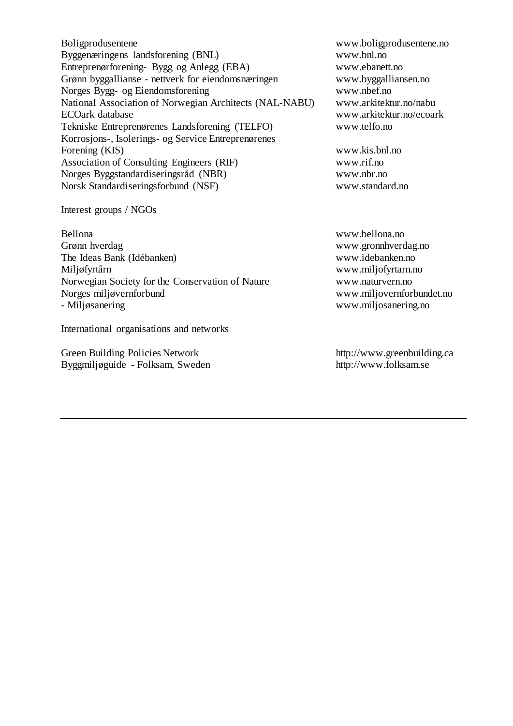Boligprodusentene www.boligprodusentene.no Byggenæringens landsforening (BNL) www.bnl.no Entreprenørforening- Bygg og Anlegg (EBA) www.ebanett.no Grønn byggallianse - nettverk for eiendomsnæringen www.byggalliansen.no Norges Bygg- og Eiendomsforening www.nbef.no National Association of Norwegian Architects (NAL-NABU) www.arkitektur.no/nabu ECOark database www.arkitektur.no/ecoark Tekniske Entreprenørenes Landsforening (TELFO) www.telfo.no Korrosjons-, Isolerings- og Service Entreprenørenes Forening (KIS) www.kis.bnl.no Association of Consulting Engineers (RIF) www.rif.no Norges Byggstandardiseringsråd (NBR) www.nbr.no Norsk Standardiseringsforbund (NSF) www.standard.no

Interest groups / NGOs

Bellona www.bellona.no Grønn hverdag www.gronnhverdag.no The Ideas Bank (Idébanken) www.idebanken.no Miljøfyrtårn www.miljofyrtarn.no Norwegian Society for the Conservation of Nature www.naturvern.no Norges miljøvernforbund www.miljovernforbundet.no - Miljøsanering www.miljosanering.no

International organisations and networks

Green Building Policies Network http://www.greenbuilding.ca Byggmiljøguide - Folksam, Sweden http://www.folksam.se